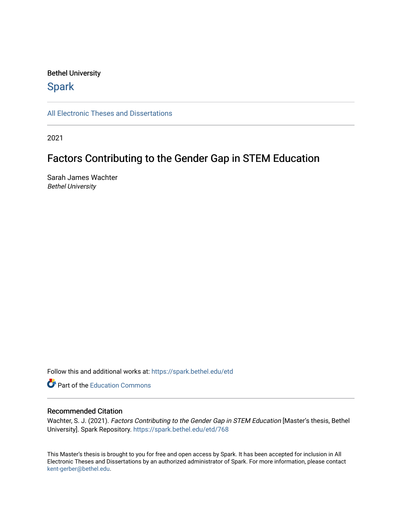#### Bethel University

# **Spark**

[All Electronic Theses and Dissertations](https://spark.bethel.edu/etd) 

2021

# Factors Contributing to the Gender Gap in STEM Education

Sarah James Wachter Bethel University

Follow this and additional works at: [https://spark.bethel.edu/etd](https://spark.bethel.edu/etd?utm_source=spark.bethel.edu%2Fetd%2F768&utm_medium=PDF&utm_campaign=PDFCoverPages)

**C** Part of the [Education Commons](http://network.bepress.com/hgg/discipline/784?utm_source=spark.bethel.edu%2Fetd%2F768&utm_medium=PDF&utm_campaign=PDFCoverPages)

#### Recommended Citation

Wachter, S. J. (2021). Factors Contributing to the Gender Gap in STEM Education [Master's thesis, Bethel University]. Spark Repository. [https://spark.bethel.edu/etd/768](https://spark.bethel.edu/etd/768?utm_source=spark.bethel.edu%2Fetd%2F768&utm_medium=PDF&utm_campaign=PDFCoverPages) 

This Master's thesis is brought to you for free and open access by Spark. It has been accepted for inclusion in All Electronic Theses and Dissertations by an authorized administrator of Spark. For more information, please contact [kent-gerber@bethel.edu](mailto:kent-gerber@bethel.edu).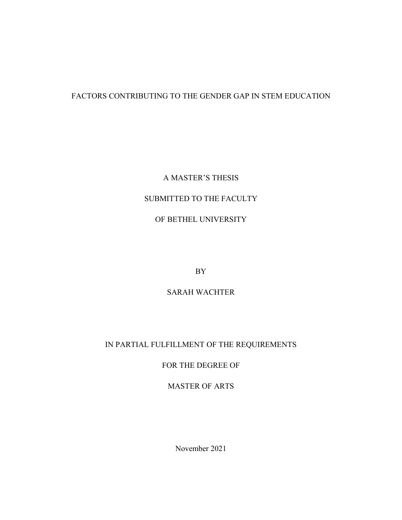# FACTORS CONTRIBUTING TO THE GENDER GAP IN STEM EDUCATION

### A MASTER'S THESIS

# SUBMITTED TO THE FACULTY

# OF BETHEL UNIVERSITY

BY

# SARAH WACHTER

# IN PARTIAL FULFILLMENT OF THE REQUIREMENTS

# FOR THE DEGREE OF

### MASTER OF ARTS

November 2021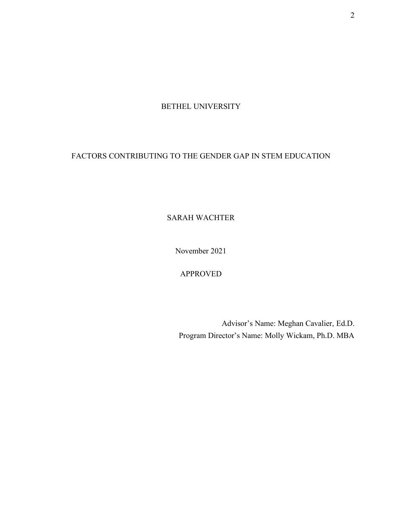BETHEL UNIVERSITY

# FACTORS CONTRIBUTING TO THE GENDER GAP IN STEM EDUCATION

SARAH WACHTER

November 2021

APPROVED

Advisor's Name: Meghan Cavalier, Ed.D. Program Director's Name: Molly Wickam, Ph.D. MBA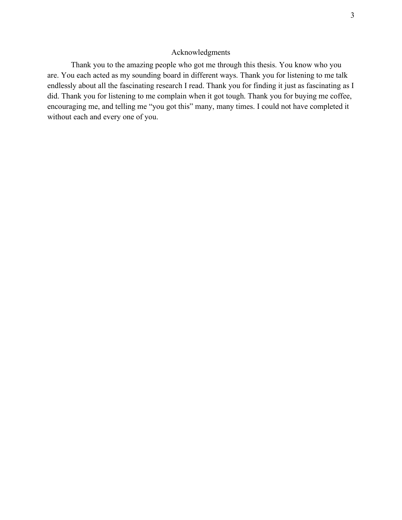### Acknowledgments

Thank you to the amazing people who got me through this thesis. You know who you are. You each acted as my sounding board in different ways. Thank you for listening to me talk endlessly about all the fascinating research I read. Thank you for finding it just as fascinating as I did. Thank you for listening to me complain when it got tough. Thank you for buying me coffee, encouraging me, and telling me "you got this" many, many times. I could not have completed it without each and every one of you.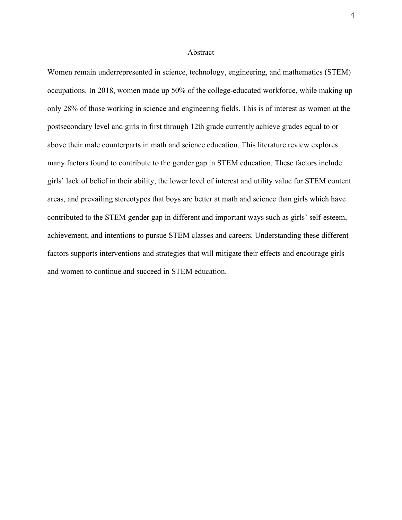#### Abstract

Women remain underrepresented in science, technology, engineering, and mathematics (STEM) occupations. In 2018, women made up 50% of the college-educated workforce, while making up only 28% of those working in science and engineering fields. This is of interest as women at the postsecondary level and girls in first through 12th grade currently achieve grades equal to or above their male counterparts in math and science education. This literature review explores many factors found to contribute to the gender gap in STEM education. These factors include girls' lack of belief in their ability, the lower level of interest and utility value for STEM content areas, and prevailing stereotypes that boys are better at math and science than girls which have contributed to the STEM gender gap in different and important ways such as girls' self-esteem, achievement, and intentions to pursue STEM classes and careers. Understanding these different factors supports interventions and strategies that will mitigate their effects and encourage girls and women to continue and succeed in STEM education.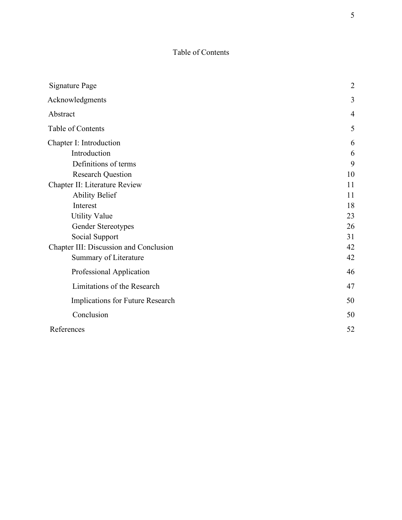# Table of Contents

| <b>Signature Page</b>                  | $\overline{2}$ |
|----------------------------------------|----------------|
| Acknowledgments                        | 3              |
| Abstract                               | $\overline{4}$ |
| Table of Contents                      | 5              |
| Chapter I: Introduction                | 6              |
| Introduction                           | 6              |
| Definitions of terms                   | 9              |
| <b>Research Question</b>               | 10             |
| Chapter II: Literature Review          | 11             |
| <b>Ability Belief</b>                  | 11             |
| Interest                               | 18             |
| <b>Utility Value</b>                   | 23             |
| Gender Stereotypes                     | 26             |
| Social Support                         | 31             |
| Chapter III: Discussion and Conclusion | 42             |
| Summary of Literature                  | 42             |
| Professional Application               | 46             |
| Limitations of the Research            | 47             |
| Implications for Future Research       | 50             |
| Conclusion                             | 50             |
| References                             | 52             |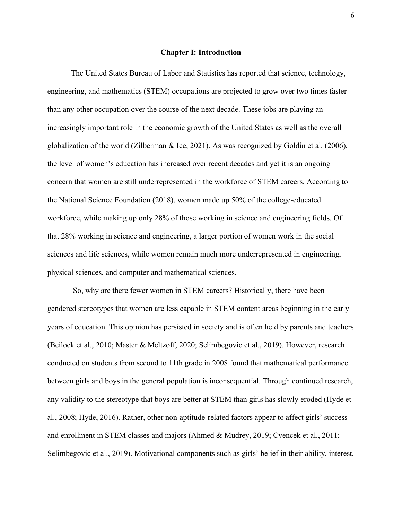#### **Chapter I: Introduction**

The United States Bureau of Labor and Statistics has reported that science, technology, engineering, and mathematics (STEM) occupations are projected to grow over two times faster than any other occupation over the course of the next decade. These jobs are playing an increasingly important role in the economic growth of the United States as well as the overall globalization of the world (Zilberman & Ice, 2021). As was recognized by Goldin et al. (2006), the level of women's education has increased over recent decades and yet it is an ongoing concern that women are still underrepresented in the workforce of STEM careers. According to the National Science Foundation (2018), women made up 50% of the college-educated workforce, while making up only 28% of those working in science and engineering fields. Of that 28% working in science and engineering, a larger portion of women work in the social sciences and life sciences, while women remain much more underrepresented in engineering, physical sciences, and computer and mathematical sciences.

So, why are there fewer women in STEM careers? Historically, there have been gendered stereotypes that women are less capable in STEM content areas beginning in the early years of education. This opinion has persisted in society and is often held by parents and teachers (Beilock et al., 2010; Master & Meltzoff, 2020; Selimbegovic et al., 2019). However, research conducted on students from second to 11th grade in 2008 found that mathematical performance between girls and boys in the general population is inconsequential. Through continued research, any validity to the stereotype that boys are better at STEM than girls has slowly eroded (Hyde et al., 2008; Hyde, 2016). Rather, other non-aptitude-related factors appear to affect girls' success and enrollment in STEM classes and majors (Ahmed & Mudrey, 2019; Cvencek et al., 2011; Selimbegovic et al., 2019). Motivational components such as girls' belief in their ability, interest,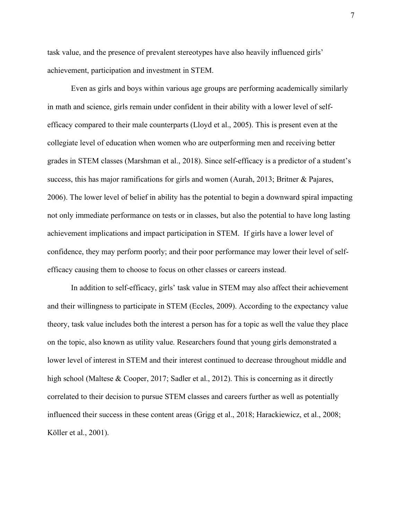task value, and the presence of prevalent stereotypes have also heavily influenced girls' achievement, participation and investment in STEM.

Even as girls and boys within various age groups are performing academically similarly in math and science, girls remain under confident in their ability with a lower level of selfefficacy compared to their male counterparts (Lloyd et al., 2005). This is present even at the collegiate level of education when women who are outperforming men and receiving better grades in STEM classes (Marshman et al., 2018). Since self-efficacy is a predictor of a student's success, this has major ramifications for girls and women (Aurah, 2013; Britner & Pajares, 2006). The lower level of belief in ability has the potential to begin a downward spiral impacting not only immediate performance on tests or in classes, but also the potential to have long lasting achievement implications and impact participation in STEM. If girls have a lower level of confidence, they may perform poorly; and their poor performance may lower their level of selfefficacy causing them to choose to focus on other classes or careers instead.

In addition to self-efficacy, girls' task value in STEM may also affect their achievement and their willingness to participate in STEM (Eccles, 2009). According to the expectancy value theory, task value includes both the interest a person has for a topic as well the value they place on the topic, also known as utility value. Researchers found that young girls demonstrated a lower level of interest in STEM and their interest continued to decrease throughout middle and high school (Maltese & Cooper, 2017; Sadler et al., 2012). This is concerning as it directly correlated to their decision to pursue STEM classes and careers further as well as potentially influenced their success in these content areas (Grigg et al., 2018; Harackiewicz, et al., 2008; Köller et al., 2001).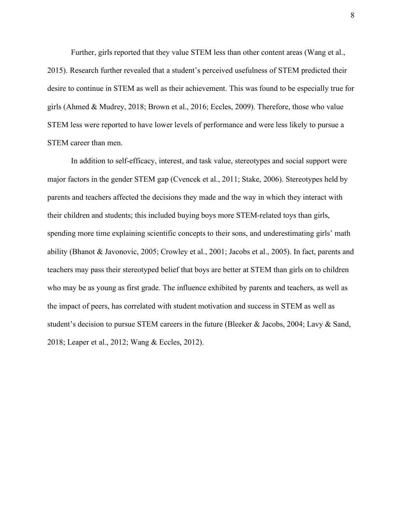Further, girls reported that they value STEM less than other content areas (Wang et al., 2015). Research further revealed that a student's perceived usefulness of STEM predicted their desire to continue in STEM as well as their achievement. This was found to be especially true for girls (Ahmed & Mudrey, 2018; Brown et al., 2016; Eccles, 2009). Therefore, those who value STEM less were reported to have lower levels of performance and were less likely to pursue a STEM career than men.

In addition to self-efficacy, interest, and task value, stereotypes and social support were major factors in the gender STEM gap (Cvencek et al., 2011; Stake, 2006). Stereotypes held by parents and teachers affected the decisions they made and the way in which they interact with their children and students; this included buying boys more STEM-related toys than girls, spending more time explaining scientific concepts to their sons, and underestimating girls' math ability (Bhanot & Javonovic, 2005; Crowley et al., 2001; Jacobs et al., 2005). In fact, parents and teachers may pass their stereotyped belief that boys are better at STEM than girls on to children who may be as young as first grade. The influence exhibited by parents and teachers, as well as the impact of peers, has correlated with student motivation and success in STEM as well as student's decision to pursue STEM careers in the future (Bleeker & Jacobs, 2004; Lavy & Sand, 2018; Leaper et al., 2012; Wang & Eccles, 2012).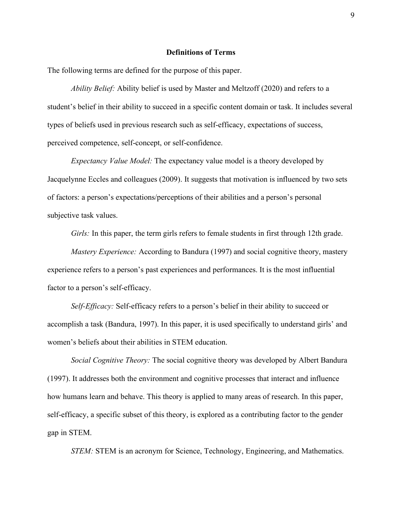#### **Definitions of Terms**

The following terms are defined for the purpose of this paper.

*Ability Belief:* Ability belief is used by Master and Meltzoff (2020) and refers to a student's belief in their ability to succeed in a specific content domain or task. It includes several types of beliefs used in previous research such as self-efficacy, expectations of success, perceived competence, self-concept, or self-confidence.

*Expectancy Value Model:* The expectancy value model is a theory developed by Jacquelynne Eccles and colleagues (2009). It suggests that motivation is influenced by two sets of factors: a person's expectations/perceptions of their abilities and a person's personal subjective task values.

*Girls:* In this paper, the term girls refers to female students in first through 12th grade.

*Mastery Experience:* According to Bandura (1997) and social cognitive theory, mastery experience refers to a person's past experiences and performances. It is the most influential factor to a person's self-efficacy.

*Self-Efficacy:* Self-efficacy refers to a person's belief in their ability to succeed or accomplish a task (Bandura, 1997). In this paper, it is used specifically to understand girls' and women's beliefs about their abilities in STEM education.

*Social Cognitive Theory:* The social cognitive theory was developed by Albert Bandura (1997). It addresses both the environment and cognitive processes that interact and influence how humans learn and behave. This theory is applied to many areas of research. In this paper, self-efficacy, a specific subset of this theory, is explored as a contributing factor to the gender gap in STEM.

*STEM:* STEM is an acronym for Science, Technology, Engineering, and Mathematics.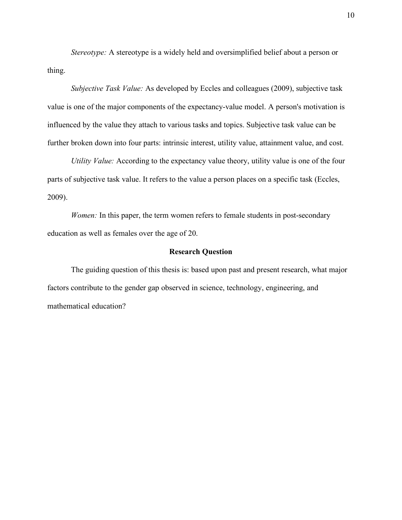*Stereotype:* A stereotype is a widely held and oversimplified belief about a person or thing.

*Subjective Task Value:* As developed by Eccles and colleagues (2009), subjective task value is one of the major components of the expectancy-value model. A person's motivation is influenced by the value they attach to various tasks and topics. Subjective task value can be further broken down into four parts: intrinsic interest, utility value, attainment value, and cost.

*Utility Value:* According to the expectancy value theory, utility value is one of the four parts of subjective task value. It refers to the value a person places on a specific task (Eccles, 2009).

*Women:* In this paper, the term women refers to female students in post-secondary education as well as females over the age of 20.

#### **Research Question**

The guiding question of this thesis is: based upon past and present research, what major factors contribute to the gender gap observed in science, technology, engineering, and mathematical education?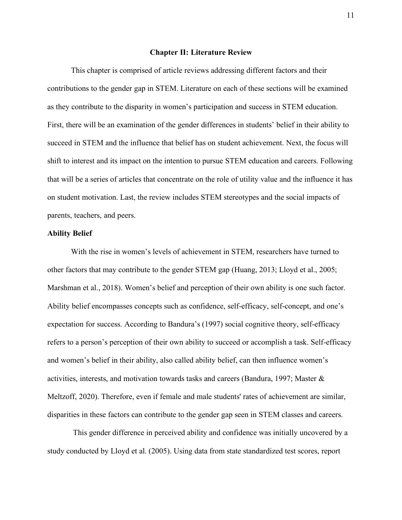#### **Chapter II: Literature Review**

This chapter is comprised of article reviews addressing different factors and their contributions to the gender gap in STEM. Literature on each of these sections will be examined as they contribute to the disparity in women's participation and success in STEM education. First, there will be an examination of the gender differences in students' belief in their ability to succeed in STEM and the influence that belief has on student achievement. Next, the focus will shift to interest and its impact on the intention to pursue STEM education and careers. Following that will be a series of articles that concentrate on the role of utility value and the influence it has on student motivation. Last, the review includes STEM stereotypes and the social impacts of parents, teachers, and peers.

#### **Ability Belief**

With the rise in women's levels of achievement in STEM, researchers have turned to other factors that may contribute to the gender STEM gap (Huang, 2013; Lloyd et al., 2005; Marshman et al., 2018). Women's belief and perception of their own ability is one such factor. Ability belief encompasses concepts such as confidence, self-efficacy, self-concept, and one's expectation for success. According to Bandura's (1997) social cognitive theory, self-efficacy refers to a person's perception of their own ability to succeed or accomplish a task. Self-efficacy and women's belief in their ability, also called ability belief, can then influence women's activities, interests, and motivation towards tasks and careers (Bandura, 1997; Master & Meltzoff, 2020). Therefore, even if female and male students' rates of achievement are similar, disparities in these factors can contribute to the gender gap seen in STEM classes and careers.

This gender difference in perceived ability and confidence was initially uncovered by a study conducted by Lloyd et al. (2005). Using data from state standardized test scores, report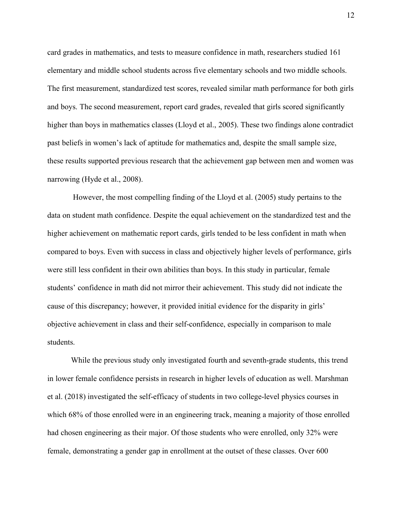card grades in mathematics, and tests to measure confidence in math, researchers studied 161 elementary and middle school students across five elementary schools and two middle schools. The first measurement, standardized test scores, revealed similar math performance for both girls and boys. The second measurement, report card grades, revealed that girls scored significantly higher than boys in mathematics classes (Lloyd et al., 2005). These two findings alone contradict past beliefs in women's lack of aptitude for mathematics and, despite the small sample size, these results supported previous research that the achievement gap between men and women was narrowing (Hyde et al., 2008).

However, the most compelling finding of the Lloyd et al. (2005) study pertains to the data on student math confidence. Despite the equal achievement on the standardized test and the higher achievement on mathematic report cards, girls tended to be less confident in math when compared to boys. Even with success in class and objectively higher levels of performance, girls were still less confident in their own abilities than boys. In this study in particular, female students' confidence in math did not mirror their achievement. This study did not indicate the cause of this discrepancy; however, it provided initial evidence for the disparity in girls' objective achievement in class and their self-confidence, especially in comparison to male students.

While the previous study only investigated fourth and seventh-grade students, this trend in lower female confidence persists in research in higher levels of education as well. Marshman et al. (2018) investigated the self-efficacy of students in two college-level physics courses in which 68% of those enrolled were in an engineering track, meaning a majority of those enrolled had chosen engineering as their major. Of those students who were enrolled, only 32% were female, demonstrating a gender gap in enrollment at the outset of these classes. Over 600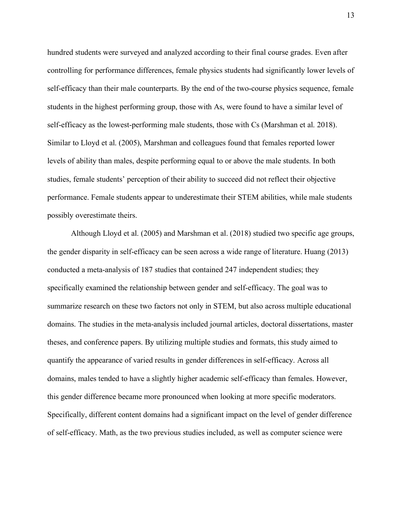hundred students were surveyed and analyzed according to their final course grades. Even after controlling for performance differences, female physics students had significantly lower levels of self-efficacy than their male counterparts. By the end of the two-course physics sequence, female students in the highest performing group, those with As, were found to have a similar level of self-efficacy as the lowest-performing male students, those with Cs (Marshman et al. 2018). Similar to Lloyd et al. (2005), Marshman and colleagues found that females reported lower levels of ability than males, despite performing equal to or above the male students. In both studies, female students' perception of their ability to succeed did not reflect their objective performance. Female students appear to underestimate their STEM abilities, while male students possibly overestimate theirs.

Although Lloyd et al. (2005) and Marshman et al. (2018) studied two specific age groups, the gender disparity in self-efficacy can be seen across a wide range of literature. Huang (2013) conducted a meta-analysis of 187 studies that contained 247 independent studies; they specifically examined the relationship between gender and self-efficacy. The goal was to summarize research on these two factors not only in STEM, but also across multiple educational domains. The studies in the meta-analysis included journal articles, doctoral dissertations, master theses, and conference papers. By utilizing multiple studies and formats, this study aimed to quantify the appearance of varied results in gender differences in self-efficacy. Across all domains, males tended to have a slightly higher academic self-efficacy than females. However, this gender difference became more pronounced when looking at more specific moderators. Specifically, different content domains had a significant impact on the level of gender difference of self-efficacy. Math, as the two previous studies included, as well as computer science were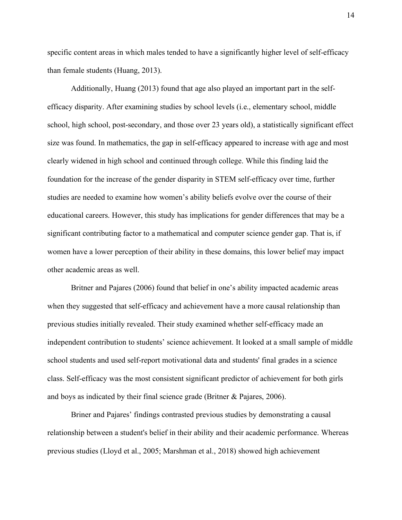specific content areas in which males tended to have a significantly higher level of self-efficacy than female students (Huang, 2013).

Additionally, Huang (2013) found that age also played an important part in the selfefficacy disparity. After examining studies by school levels (i.e., elementary school, middle school, high school, post-secondary, and those over 23 years old), a statistically significant effect size was found. In mathematics, the gap in self-efficacy appeared to increase with age and most clearly widened in high school and continued through college. While this finding laid the foundation for the increase of the gender disparity in STEM self-efficacy over time, further studies are needed to examine how women's ability beliefs evolve over the course of their educational careers. However, this study has implications for gender differences that may be a significant contributing factor to a mathematical and computer science gender gap. That is, if women have a lower perception of their ability in these domains, this lower belief may impact other academic areas as well.

Britner and Pajares (2006) found that belief in one's ability impacted academic areas when they suggested that self-efficacy and achievement have a more causal relationship than previous studies initially revealed. Their study examined whether self-efficacy made an independent contribution to students' science achievement. It looked at a small sample of middle school students and used self-report motivational data and students' final grades in a science class. Self-efficacy was the most consistent significant predictor of achievement for both girls and boys as indicated by their final science grade (Britner & Pajares, 2006).

Briner and Pajares' findings contrasted previous studies by demonstrating a causal relationship between a student's belief in their ability and their academic performance. Whereas previous studies (Lloyd et al., 2005; Marshman et al., 2018) showed high achievement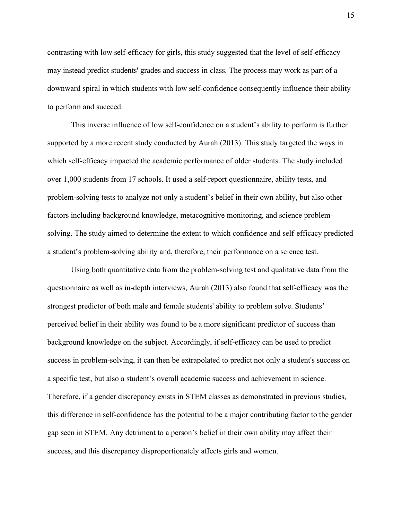contrasting with low self-efficacy for girls, this study suggested that the level of self-efficacy may instead predict students' grades and success in class. The process may work as part of a downward spiral in which students with low self-confidence consequently influence their ability to perform and succeed.

This inverse influence of low self-confidence on a student's ability to perform is further supported by a more recent study conducted by Aurah (2013). This study targeted the ways in which self-efficacy impacted the academic performance of older students. The study included over 1,000 students from 17 schools. It used a self-report questionnaire, ability tests, and problem-solving tests to analyze not only a student's belief in their own ability, but also other factors including background knowledge, metacognitive monitoring, and science problemsolving. The study aimed to determine the extent to which confidence and self-efficacy predicted a student's problem-solving ability and, therefore, their performance on a science test.

Using both quantitative data from the problem-solving test and qualitative data from the questionnaire as well as in-depth interviews, Aurah (2013) also found that self-efficacy was the strongest predictor of both male and female students' ability to problem solve. Students' perceived belief in their ability was found to be a more significant predictor of success than background knowledge on the subject. Accordingly, if self-efficacy can be used to predict success in problem-solving, it can then be extrapolated to predict not only a student's success on a specific test, but also a student's overall academic success and achievement in science. Therefore, if a gender discrepancy exists in STEM classes as demonstrated in previous studies, this difference in self-confidence has the potential to be a major contributing factor to the gender gap seen in STEM. Any detriment to a person's belief in their own ability may affect their success, and this discrepancy disproportionately affects girls and women.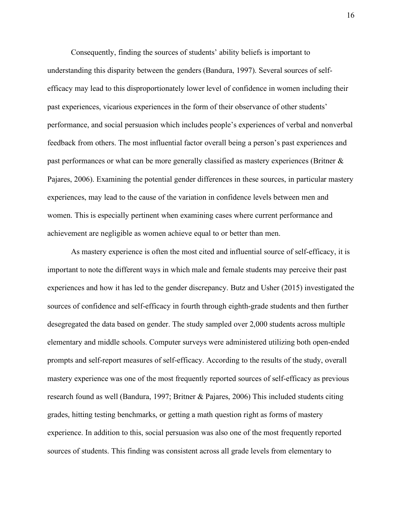Consequently, finding the sources of students' ability beliefs is important to understanding this disparity between the genders (Bandura, 1997). Several sources of selfefficacy may lead to this disproportionately lower level of confidence in women including their past experiences, vicarious experiences in the form of their observance of other students' performance, and social persuasion which includes people's experiences of verbal and nonverbal feedback from others. The most influential factor overall being a person's past experiences and past performances or what can be more generally classified as mastery experiences (Britner & Pajares, 2006). Examining the potential gender differences in these sources, in particular mastery experiences, may lead to the cause of the variation in confidence levels between men and women. This is especially pertinent when examining cases where current performance and achievement are negligible as women achieve equal to or better than men.

As mastery experience is often the most cited and influential source of self-efficacy, it is important to note the different ways in which male and female students may perceive their past experiences and how it has led to the gender discrepancy. Butz and Usher (2015) investigated the sources of confidence and self-efficacy in fourth through eighth-grade students and then further desegregated the data based on gender. The study sampled over 2,000 students across multiple elementary and middle schools. Computer surveys were administered utilizing both open-ended prompts and self-report measures of self-efficacy. According to the results of the study, overall mastery experience was one of the most frequently reported sources of self-efficacy as previous research found as well (Bandura, 1997; Britner & Pajares, 2006) This included students citing grades, hitting testing benchmarks, or getting a math question right as forms of mastery experience. In addition to this, social persuasion was also one of the most frequently reported sources of students. This finding was consistent across all grade levels from elementary to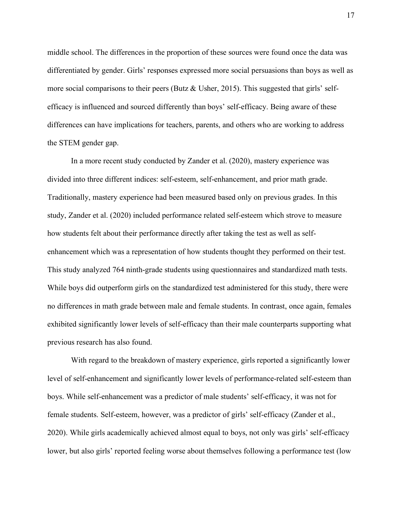middle school. The differences in the proportion of these sources were found once the data was differentiated by gender. Girls' responses expressed more social persuasions than boys as well as more social comparisons to their peers (Butz & Usher, 2015). This suggested that girls' selfefficacy is influenced and sourced differently than boys' self-efficacy. Being aware of these differences can have implications for teachers, parents, and others who are working to address the STEM gender gap.

In a more recent study conducted by Zander et al. (2020), mastery experience was divided into three different indices: self-esteem, self-enhancement, and prior math grade. Traditionally, mastery experience had been measured based only on previous grades. In this study, Zander et al. (2020) included performance related self-esteem which strove to measure how students felt about their performance directly after taking the test as well as selfenhancement which was a representation of how students thought they performed on their test. This study analyzed 764 ninth-grade students using questionnaires and standardized math tests. While boys did outperform girls on the standardized test administered for this study, there were no differences in math grade between male and female students. In contrast, once again, females exhibited significantly lower levels of self-efficacy than their male counterparts supporting what previous research has also found.

With regard to the breakdown of mastery experience, girls reported a significantly lower level of self-enhancement and significantly lower levels of performance-related self-esteem than boys. While self-enhancement was a predictor of male students' self-efficacy, it was not for female students. Self-esteem, however, was a predictor of girls' self-efficacy (Zander et al., 2020). While girls academically achieved almost equal to boys, not only was girls' self-efficacy lower, but also girls' reported feeling worse about themselves following a performance test (low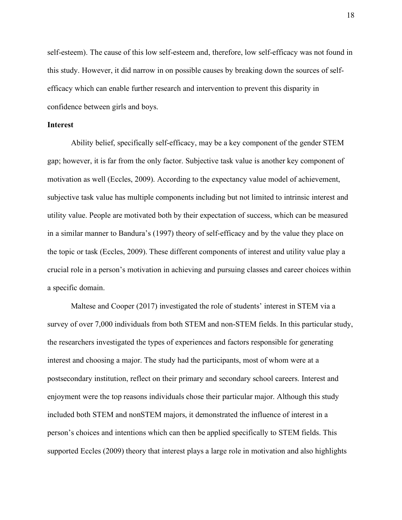self-esteem). The cause of this low self-esteem and, therefore, low self-efficacy was not found in this study. However, it did narrow in on possible causes by breaking down the sources of selfefficacy which can enable further research and intervention to prevent this disparity in confidence between girls and boys.

#### **Interest**

Ability belief, specifically self-efficacy, may be a key component of the gender STEM gap; however, it is far from the only factor. Subjective task value is another key component of motivation as well (Eccles, 2009). According to the expectancy value model of achievement, subjective task value has multiple components including but not limited to intrinsic interest and utility value. People are motivated both by their expectation of success, which can be measured in a similar manner to Bandura's (1997) theory of self-efficacy and by the value they place on the topic or task (Eccles, 2009). These different components of interest and utility value play a crucial role in a person's motivation in achieving and pursuing classes and career choices within a specific domain.

Maltese and Cooper (2017) investigated the role of students' interest in STEM via a survey of over 7,000 individuals from both STEM and non-STEM fields. In this particular study, the researchers investigated the types of experiences and factors responsible for generating interest and choosing a major. The study had the participants, most of whom were at a postsecondary institution, reflect on their primary and secondary school careers. Interest and enjoyment were the top reasons individuals chose their particular major. Although this study included both STEM and nonSTEM majors, it demonstrated the influence of interest in a person's choices and intentions which can then be applied specifically to STEM fields. This supported Eccles (2009) theory that interest plays a large role in motivation and also highlights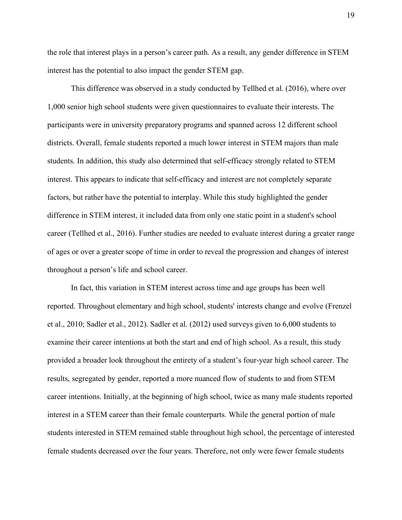the role that interest plays in a person's career path. As a result, any gender difference in STEM interest has the potential to also impact the gender STEM gap.

This difference was observed in a study conducted by Tellhed et al. (2016), where over 1,000 senior high school students were given questionnaires to evaluate their interests. The participants were in university preparatory programs and spanned across 12 different school districts. Overall, female students reported a much lower interest in STEM majors than male students. In addition, this study also determined that self-efficacy strongly related to STEM interest. This appears to indicate that self-efficacy and interest are not completely separate factors, but rather have the potential to interplay. While this study highlighted the gender difference in STEM interest, it included data from only one static point in a student's school career (Tellhed et al., 2016). Further studies are needed to evaluate interest during a greater range of ages or over a greater scope of time in order to reveal the progression and changes of interest throughout a person's life and school career.

In fact, this variation in STEM interest across time and age groups has been well reported. Throughout elementary and high school, students' interests change and evolve (Frenzel et al., 2010; Sadler et al., 2012). Sadler et al. (2012) used surveys given to 6,000 students to examine their career intentions at both the start and end of high school. As a result, this study provided a broader look throughout the entirety of a student's four-year high school career. The results, segregated by gender, reported a more nuanced flow of students to and from STEM career intentions. Initially, at the beginning of high school, twice as many male students reported interest in a STEM career than their female counterparts. While the general portion of male students interested in STEM remained stable throughout high school, the percentage of interested female students decreased over the four years. Therefore, not only were fewer female students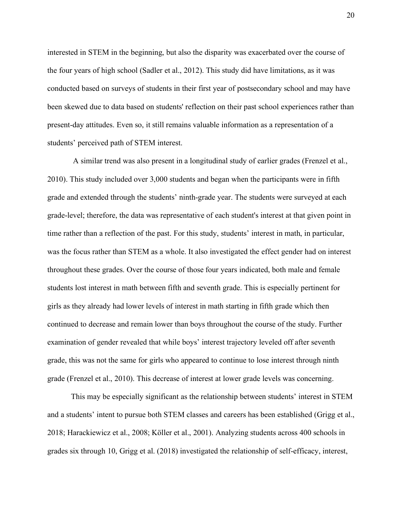interested in STEM in the beginning, but also the disparity was exacerbated over the course of the four years of high school (Sadler et al., 2012). This study did have limitations, as it was conducted based on surveys of students in their first year of postsecondary school and may have been skewed due to data based on students' reflection on their past school experiences rather than present-day attitudes. Even so, it still remains valuable information as a representation of a students' perceived path of STEM interest.

A similar trend was also present in a longitudinal study of earlier grades (Frenzel et al., 2010). This study included over 3,000 students and began when the participants were in fifth grade and extended through the students' ninth-grade year. The students were surveyed at each grade-level; therefore, the data was representative of each student's interest at that given point in time rather than a reflection of the past. For this study, students' interest in math, in particular, was the focus rather than STEM as a whole. It also investigated the effect gender had on interest throughout these grades. Over the course of those four years indicated, both male and female students lost interest in math between fifth and seventh grade. This is especially pertinent for girls as they already had lower levels of interest in math starting in fifth grade which then continued to decrease and remain lower than boys throughout the course of the study. Further examination of gender revealed that while boys' interest trajectory leveled off after seventh grade, this was not the same for girls who appeared to continue to lose interest through ninth grade (Frenzel et al., 2010). This decrease of interest at lower grade levels was concerning.

This may be especially significant as the relationship between students' interest in STEM and a students' intent to pursue both STEM classes and careers has been established (Grigg et al., 2018; Harackiewicz et al., 2008; Köller et al., 2001). Analyzing students across 400 schools in grades six through 10, Grigg et al. (2018) investigated the relationship of self-efficacy, interest,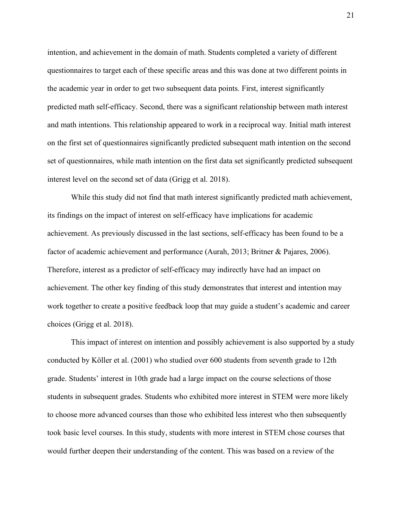intention, and achievement in the domain of math. Students completed a variety of different questionnaires to target each of these specific areas and this was done at two different points in the academic year in order to get two subsequent data points. First, interest significantly predicted math self-efficacy. Second, there was a significant relationship between math interest and math intentions. This relationship appeared to work in a reciprocal way. Initial math interest on the first set of questionnaires significantly predicted subsequent math intention on the second set of questionnaires, while math intention on the first data set significantly predicted subsequent interest level on the second set of data (Grigg et al. 2018).

While this study did not find that math interest significantly predicted math achievement, its findings on the impact of interest on self-efficacy have implications for academic achievement. As previously discussed in the last sections, self-efficacy has been found to be a factor of academic achievement and performance (Aurah, 2013; Britner & Pajares, 2006). Therefore, interest as a predictor of self-efficacy may indirectly have had an impact on achievement. The other key finding of this study demonstrates that interest and intention may work together to create a positive feedback loop that may guide a student's academic and career choices (Grigg et al. 2018).

This impact of interest on intention and possibly achievement is also supported by a study conducted by Köller et al. (2001) who studied over 600 students from seventh grade to 12th grade. Students' interest in 10th grade had a large impact on the course selections of those students in subsequent grades. Students who exhibited more interest in STEM were more likely to choose more advanced courses than those who exhibited less interest who then subsequently took basic level courses. In this study, students with more interest in STEM chose courses that would further deepen their understanding of the content. This was based on a review of the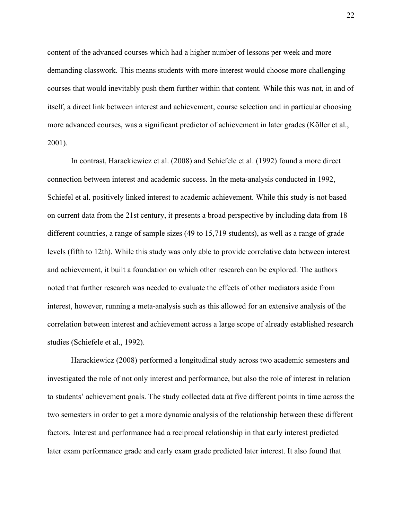content of the advanced courses which had a higher number of lessons per week and more demanding classwork. This means students with more interest would choose more challenging courses that would inevitably push them further within that content. While this was not, in and of itself, a direct link between interest and achievement, course selection and in particular choosing more advanced courses, was a significant predictor of achievement in later grades (Köller et al., 2001).

In contrast, Harackiewicz et al. (2008) and Schiefele et al. (1992) found a more direct connection between interest and academic success. In the meta-analysis conducted in 1992, Schiefel et al. positively linked interest to academic achievement. While this study is not based on current data from the 21st century, it presents a broad perspective by including data from 18 different countries, a range of sample sizes (49 to 15,719 students), as well as a range of grade levels (fifth to 12th). While this study was only able to provide correlative data between interest and achievement, it built a foundation on which other research can be explored. The authors noted that further research was needed to evaluate the effects of other mediators aside from interest, however, running a meta-analysis such as this allowed for an extensive analysis of the correlation between interest and achievement across a large scope of already established research studies (Schiefele et al., 1992).

Harackiewicz (2008) performed a longitudinal study across two academic semesters and investigated the role of not only interest and performance, but also the role of interest in relation to students' achievement goals. The study collected data at five different points in time across the two semesters in order to get a more dynamic analysis of the relationship between these different factors. Interest and performance had a reciprocal relationship in that early interest predicted later exam performance grade and early exam grade predicted later interest. It also found that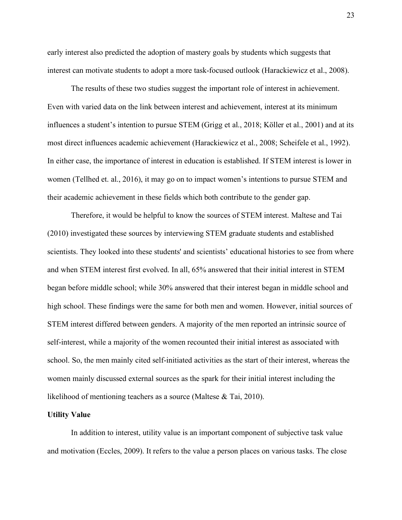early interest also predicted the adoption of mastery goals by students which suggests that interest can motivate students to adopt a more task-focused outlook (Harackiewicz et al., 2008).

The results of these two studies suggest the important role of interest in achievement. Even with varied data on the link between interest and achievement, interest at its minimum influences a student's intention to pursue STEM (Grigg et al., 2018; Köller et al., 2001) and at its most direct influences academic achievement (Harackiewicz et al., 2008; Scheifele et al., 1992). In either case, the importance of interest in education is established. If STEM interest is lower in women (Tellhed et. al., 2016), it may go on to impact women's intentions to pursue STEM and their academic achievement in these fields which both contribute to the gender gap.

Therefore, it would be helpful to know the sources of STEM interest. Maltese and Tai (2010) investigated these sources by interviewing STEM graduate students and established scientists. They looked into these students' and scientists' educational histories to see from where and when STEM interest first evolved. In all, 65% answered that their initial interest in STEM began before middle school; while 30% answered that their interest began in middle school and high school. These findings were the same for both men and women. However, initial sources of STEM interest differed between genders. A majority of the men reported an intrinsic source of self-interest, while a majority of the women recounted their initial interest as associated with school. So, the men mainly cited self-initiated activities as the start of their interest, whereas the women mainly discussed external sources as the spark for their initial interest including the likelihood of mentioning teachers as a source (Maltese & Tai, 2010).

#### **Utility Value**

In addition to interest, utility value is an important component of subjective task value and motivation (Eccles, 2009). It refers to the value a person places on various tasks. The close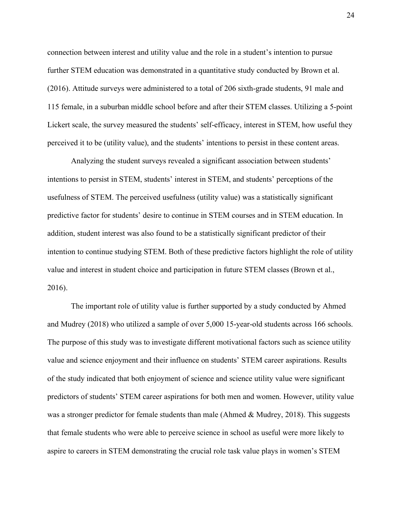connection between interest and utility value and the role in a student's intention to pursue further STEM education was demonstrated in a quantitative study conducted by Brown et al. (2016). Attitude surveys were administered to a total of 206 sixth-grade students, 91 male and 115 female, in a suburban middle school before and after their STEM classes. Utilizing a 5-point Lickert scale, the survey measured the students' self-efficacy, interest in STEM, how useful they perceived it to be (utility value), and the students' intentions to persist in these content areas.

Analyzing the student surveys revealed a significant association between students' intentions to persist in STEM, students' interest in STEM, and students' perceptions of the usefulness of STEM. The perceived usefulness (utility value) was a statistically significant predictive factor for students' desire to continue in STEM courses and in STEM education. In addition, student interest was also found to be a statistically significant predictor of their intention to continue studying STEM. Both of these predictive factors highlight the role of utility value and interest in student choice and participation in future STEM classes (Brown et al., 2016).

The important role of utility value is further supported by a study conducted by Ahmed and Mudrey (2018) who utilized a sample of over 5,000 15-year-old students across 166 schools. The purpose of this study was to investigate different motivational factors such as science utility value and science enjoyment and their influence on students' STEM career aspirations. Results of the study indicated that both enjoyment of science and science utility value were significant predictors of students' STEM career aspirations for both men and women. However, utility value was a stronger predictor for female students than male (Ahmed  $\&$  Mudrey, 2018). This suggests that female students who were able to perceive science in school as useful were more likely to aspire to careers in STEM demonstrating the crucial role task value plays in women's STEM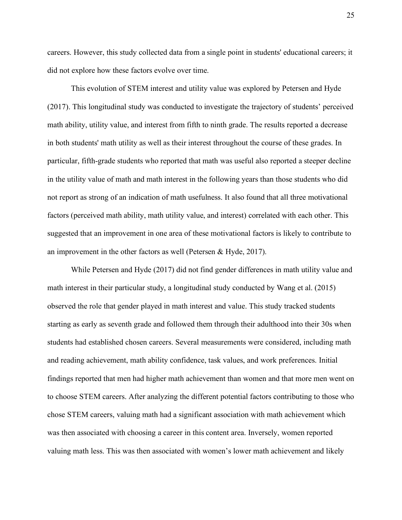careers. However, this study collected data from a single point in students' educational careers; it did not explore how these factors evolve over time.

This evolution of STEM interest and utility value was explored by Petersen and Hyde (2017). This longitudinal study was conducted to investigate the trajectory of students' perceived math ability, utility value, and interest from fifth to ninth grade. The results reported a decrease in both students' math utility as well as their interest throughout the course of these grades. In particular, fifth-grade students who reported that math was useful also reported a steeper decline in the utility value of math and math interest in the following years than those students who did not report as strong of an indication of math usefulness. It also found that all three motivational factors (perceived math ability, math utility value, and interest) correlated with each other. This suggested that an improvement in one area of these motivational factors is likely to contribute to an improvement in the other factors as well (Petersen & Hyde, 2017).

While Petersen and Hyde (2017) did not find gender differences in math utility value and math interest in their particular study, a longitudinal study conducted by Wang et al. (2015) observed the role that gender played in math interest and value. This study tracked students starting as early as seventh grade and followed them through their adulthood into their 30s when students had established chosen careers. Several measurements were considered, including math and reading achievement, math ability confidence, task values, and work preferences. Initial findings reported that men had higher math achievement than women and that more men went on to choose STEM careers. After analyzing the different potential factors contributing to those who chose STEM careers, valuing math had a significant association with math achievement which was then associated with choosing a career in this content area. Inversely, women reported valuing math less. This was then associated with women's lower math achievement and likely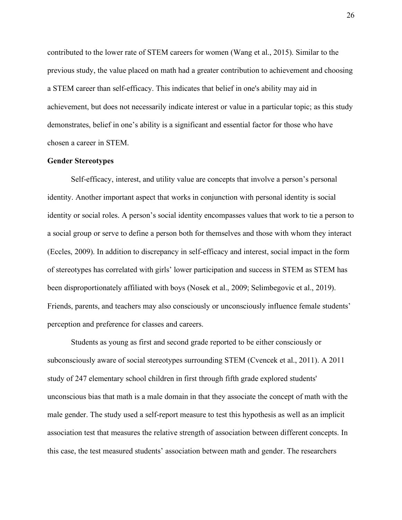contributed to the lower rate of STEM careers for women (Wang et al., 2015). Similar to the previous study, the value placed on math had a greater contribution to achievement and choosing a STEM career than self-efficacy. This indicates that belief in one's ability may aid in achievement, but does not necessarily indicate interest or value in a particular topic; as this study demonstrates, belief in one's ability is a significant and essential factor for those who have chosen a career in STEM.

#### **Gender Stereotypes**

Self-efficacy, interest, and utility value are concepts that involve a person's personal identity. Another important aspect that works in conjunction with personal identity is social identity or social roles. A person's social identity encompasses values that work to tie a person to a social group or serve to define a person both for themselves and those with whom they interact (Eccles, 2009). In addition to discrepancy in self-efficacy and interest, social impact in the form of stereotypes has correlated with girls' lower participation and success in STEM as STEM has been disproportionately affiliated with boys (Nosek et al., 2009; Selimbegovic et al., 2019). Friends, parents, and teachers may also consciously or unconsciously influence female students' perception and preference for classes and careers.

Students as young as first and second grade reported to be either consciously or subconsciously aware of social stereotypes surrounding STEM (Cvencek et al., 2011). A 2011 study of 247 elementary school children in first through fifth grade explored students' unconscious bias that math is a male domain in that they associate the concept of math with the male gender. The study used a self-report measure to test this hypothesis as well as an implicit association test that measures the relative strength of association between different concepts. In this case, the test measured students' association between math and gender. The researchers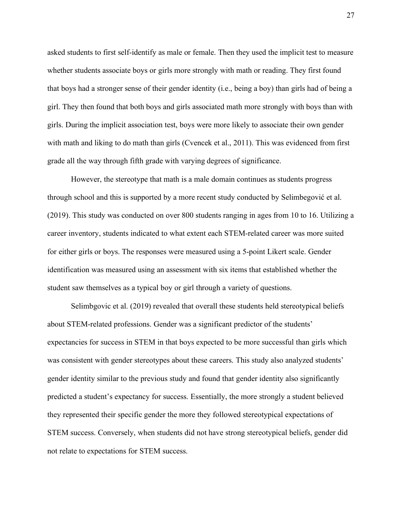asked students to first self-identify as male or female. Then they used the implicit test to measure whether students associate boys or girls more strongly with math or reading. They first found that boys had a stronger sense of their gender identity (i.e., being a boy) than girls had of being a girl. They then found that both boys and girls associated math more strongly with boys than with girls. During the implicit association test, boys were more likely to associate their own gender with math and liking to do math than girls (Cvencek et al., 2011). This was evidenced from first grade all the way through fifth grade with varying degrees of significance.

However, the stereotype that math is a male domain continues as students progress through school and this is supported by a more recent study conducted by Selimbegović et al. (2019). This study was conducted on over 800 students ranging in ages from 10 to 16. Utilizing a career inventory, students indicated to what extent each STEM-related career was more suited for either girls or boys. The responses were measured using a 5-point Likert scale. Gender identification was measured using an assessment with six items that established whether the student saw themselves as a typical boy or girl through a variety of questions.

Selimbgovic et al. (2019) revealed that overall these students held stereotypical beliefs about STEM-related professions. Gender was a significant predictor of the students' expectancies for success in STEM in that boys expected to be more successful than girls which was consistent with gender stereotypes about these careers. This study also analyzed students' gender identity similar to the previous study and found that gender identity also significantly predicted a student's expectancy for success. Essentially, the more strongly a student believed they represented their specific gender the more they followed stereotypical expectations of STEM success. Conversely, when students did not have strong stereotypical beliefs, gender did not relate to expectations for STEM success.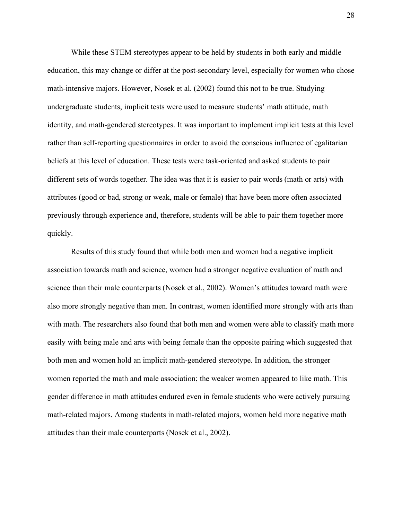While these STEM stereotypes appear to be held by students in both early and middle education, this may change or differ at the post-secondary level, especially for women who chose math-intensive majors. However, Nosek et al. (2002) found this not to be true. Studying undergraduate students, implicit tests were used to measure students' math attitude, math identity, and math-gendered stereotypes. It was important to implement implicit tests at this level rather than self-reporting questionnaires in order to avoid the conscious influence of egalitarian beliefs at this level of education. These tests were task-oriented and asked students to pair different sets of words together. The idea was that it is easier to pair words (math or arts) with attributes (good or bad, strong or weak, male or female) that have been more often associated previously through experience and, therefore, students will be able to pair them together more quickly.

Results of this study found that while both men and women had a negative implicit association towards math and science, women had a stronger negative evaluation of math and science than their male counterparts (Nosek et al., 2002). Women's attitudes toward math were also more strongly negative than men. In contrast, women identified more strongly with arts than with math. The researchers also found that both men and women were able to classify math more easily with being male and arts with being female than the opposite pairing which suggested that both men and women hold an implicit math-gendered stereotype. In addition, the stronger women reported the math and male association; the weaker women appeared to like math. This gender difference in math attitudes endured even in female students who were actively pursuing math-related majors. Among students in math-related majors, women held more negative math attitudes than their male counterparts (Nosek et al., 2002).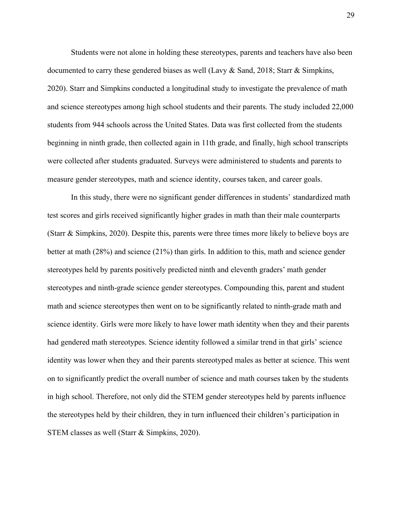Students were not alone in holding these stereotypes, parents and teachers have also been documented to carry these gendered biases as well (Lavy & Sand, 2018; Starr & Simpkins, 2020). Starr and Simpkins conducted a longitudinal study to investigate the prevalence of math and science stereotypes among high school students and their parents. The study included 22,000 students from 944 schools across the United States. Data was first collected from the students beginning in ninth grade, then collected again in 11th grade, and finally, high school transcripts were collected after students graduated. Surveys were administered to students and parents to measure gender stereotypes, math and science identity, courses taken, and career goals.

In this study, there were no significant gender differences in students' standardized math test scores and girls received significantly higher grades in math than their male counterparts (Starr & Simpkins, 2020). Despite this, parents were three times more likely to believe boys are better at math (28%) and science (21%) than girls. In addition to this, math and science gender stereotypes held by parents positively predicted ninth and eleventh graders' math gender stereotypes and ninth-grade science gender stereotypes. Compounding this, parent and student math and science stereotypes then went on to be significantly related to ninth-grade math and science identity. Girls were more likely to have lower math identity when they and their parents had gendered math stereotypes. Science identity followed a similar trend in that girls' science identity was lower when they and their parents stereotyped males as better at science. This went on to significantly predict the overall number of science and math courses taken by the students in high school. Therefore, not only did the STEM gender stereotypes held by parents influence the stereotypes held by their children, they in turn influenced their children's participation in STEM classes as well (Starr & Simpkins, 2020).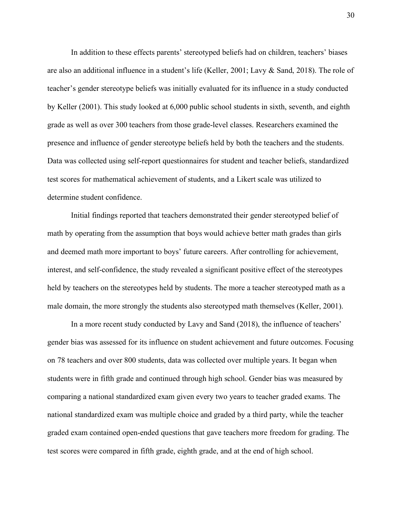In addition to these effects parents' stereotyped beliefs had on children, teachers' biases are also an additional influence in a student's life (Keller, 2001; Lavy & Sand, 2018). The role of teacher's gender stereotype beliefs was initially evaluated for its influence in a study conducted by Keller (2001). This study looked at 6,000 public school students in sixth, seventh, and eighth grade as well as over 300 teachers from those grade-level classes. Researchers examined the presence and influence of gender stereotype beliefs held by both the teachers and the students. Data was collected using self-report questionnaires for student and teacher beliefs, standardized test scores for mathematical achievement of students, and a Likert scale was utilized to determine student confidence.

Initial findings reported that teachers demonstrated their gender stereotyped belief of math by operating from the assumption that boys would achieve better math grades than girls and deemed math more important to boys' future careers. After controlling for achievement, interest, and self-confidence, the study revealed a significant positive effect of the stereotypes held by teachers on the stereotypes held by students. The more a teacher stereotyped math as a male domain, the more strongly the students also stereotyped math themselves (Keller, 2001).

In a more recent study conducted by Lavy and Sand (2018), the influence of teachers' gender bias was assessed for its influence on student achievement and future outcomes. Focusing on 78 teachers and over 800 students, data was collected over multiple years. It began when students were in fifth grade and continued through high school. Gender bias was measured by comparing a national standardized exam given every two years to teacher graded exams. The national standardized exam was multiple choice and graded by a third party, while the teacher graded exam contained open-ended questions that gave teachers more freedom for grading. The test scores were compared in fifth grade, eighth grade, and at the end of high school.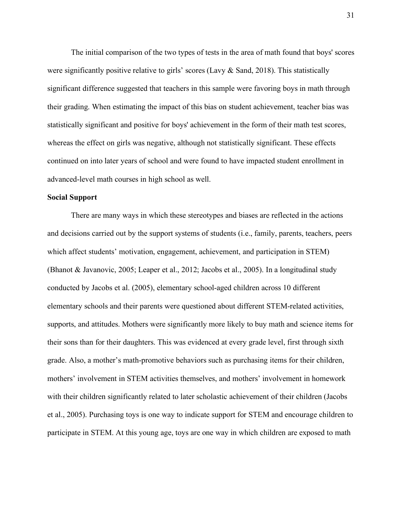The initial comparison of the two types of tests in the area of math found that boys' scores were significantly positive relative to girls' scores (Lavy & Sand, 2018). This statistically significant difference suggested that teachers in this sample were favoring boys in math through their grading. When estimating the impact of this bias on student achievement, teacher bias was statistically significant and positive for boys' achievement in the form of their math test scores, whereas the effect on girls was negative, although not statistically significant. These effects continued on into later years of school and were found to have impacted student enrollment in advanced-level math courses in high school as well.

#### **Social Support**

There are many ways in which these stereotypes and biases are reflected in the actions and decisions carried out by the support systems of students (i.e., family, parents, teachers, peers which affect students' motivation, engagement, achievement, and participation in STEM) (Bhanot & Javanovic, 2005; Leaper et al., 2012; Jacobs et al., 2005). In a longitudinal study conducted by Jacobs et al. (2005), elementary school-aged children across 10 different elementary schools and their parents were questioned about different STEM-related activities, supports, and attitudes. Mothers were significantly more likely to buy math and science items for their sons than for their daughters. This was evidenced at every grade level, first through sixth grade. Also, a mother's math-promotive behaviors such as purchasing items for their children, mothers' involvement in STEM activities themselves, and mothers' involvement in homework with their children significantly related to later scholastic achievement of their children (Jacobs et al., 2005). Purchasing toys is one way to indicate support for STEM and encourage children to participate in STEM. At this young age, toys are one way in which children are exposed to math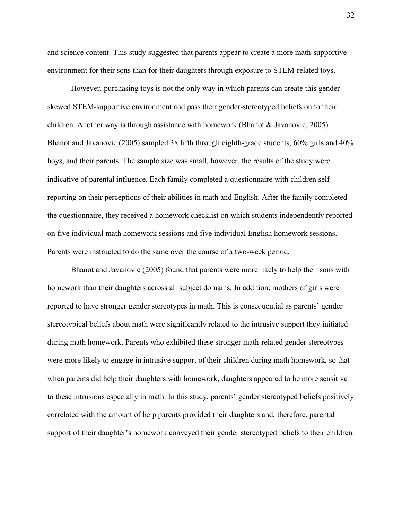and science content. This study suggested that parents appear to create a more math-supportive environment for their sons than for their daughters through exposure to STEM-related toys.

However, purchasing toys is not the only way in which parents can create this gender skewed STEM-supportive environment and pass their gender-stereotyped beliefs on to their children. Another way is through assistance with homework (Bhanot  $&$  Javanovic, 2005). Bhanot and Javanovic (2005) sampled 38 fifth through eighth-grade students, 60% girls and 40% boys, and their parents. The sample size was small, however, the results of the study were indicative of parental influence. Each family completed a questionnaire with children selfreporting on their perceptions of their abilities in math and English. After the family completed the questionnaire, they received a homework checklist on which students independently reported on five individual math homework sessions and five individual English homework sessions. Parents were instructed to do the same over the course of a two-week period.

Bhanot and Javanovic (2005) found that parents were more likely to help their sons with homework than their daughters across all subject domains. In addition, mothers of girls were reported to have stronger gender stereotypes in math. This is consequential as parents' gender stereotypical beliefs about math were significantly related to the intrusive support they initiated during math homework. Parents who exhibited these stronger math-related gender stereotypes were more likely to engage in intrusive support of their children during math homework, so that when parents did help their daughters with homework, daughters appeared to be more sensitive to these intrusions especially in math. In this study, parents' gender stereotyped beliefs positively correlated with the amount of help parents provided their daughters and, therefore, parental support of their daughter's homework conveyed their gender stereotyped beliefs to their children.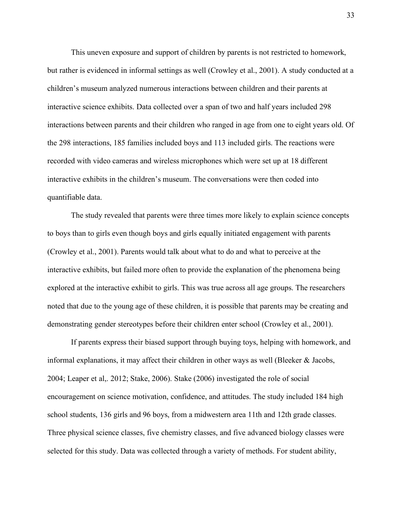This uneven exposure and support of children by parents is not restricted to homework, but rather is evidenced in informal settings as well (Crowley et al., 2001). A study conducted at a children's museum analyzed numerous interactions between children and their parents at interactive science exhibits. Data collected over a span of two and half years included 298 interactions between parents and their children who ranged in age from one to eight years old. Of the 298 interactions, 185 families included boys and 113 included girls. The reactions were recorded with video cameras and wireless microphones which were set up at 18 different interactive exhibits in the children's museum. The conversations were then coded into quantifiable data.

The study revealed that parents were three times more likely to explain science concepts to boys than to girls even though boys and girls equally initiated engagement with parents (Crowley et al., 2001). Parents would talk about what to do and what to perceive at the interactive exhibits, but failed more often to provide the explanation of the phenomena being explored at the interactive exhibit to girls. This was true across all age groups. The researchers noted that due to the young age of these children, it is possible that parents may be creating and demonstrating gender stereotypes before their children enter school (Crowley et al., 2001).

If parents express their biased support through buying toys, helping with homework, and informal explanations, it may affect their children in other ways as well (Bleeker & Jacobs, 2004; Leaper et al,. 2012; Stake, 2006). Stake (2006) investigated the role of social encouragement on science motivation, confidence, and attitudes. The study included 184 high school students, 136 girls and 96 boys, from a midwestern area 11th and 12th grade classes. Three physical science classes, five chemistry classes, and five advanced biology classes were selected for this study. Data was collected through a variety of methods. For student ability,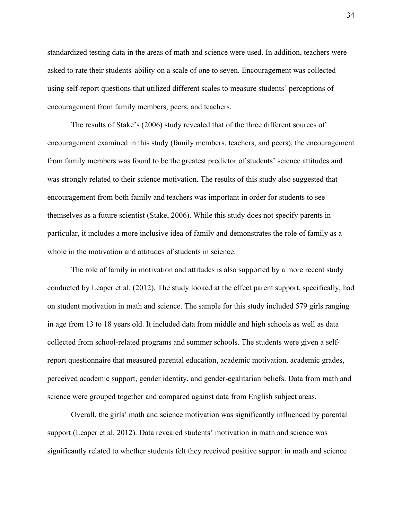standardized testing data in the areas of math and science were used. In addition, teachers were asked to rate their students' ability on a scale of one to seven. Encouragement was collected using self-report questions that utilized different scales to measure students' perceptions of encouragement from family members, peers, and teachers.

The results of Stake's (2006) study revealed that of the three different sources of encouragement examined in this study (family members, teachers, and peers), the encouragement from family members was found to be the greatest predictor of students' science attitudes and was strongly related to their science motivation. The results of this study also suggested that encouragement from both family and teachers was important in order for students to see themselves as a future scientist (Stake, 2006). While this study does not specify parents in particular, it includes a more inclusive idea of family and demonstrates the role of family as a whole in the motivation and attitudes of students in science.

The role of family in motivation and attitudes is also supported by a more recent study conducted by Leaper et al. (2012). The study looked at the effect parent support, specifically, had on student motivation in math and science. The sample for this study included 579 girls ranging in age from 13 to 18 years old. It included data from middle and high schools as well as data collected from school-related programs and summer schools. The students were given a selfreport questionnaire that measured parental education, academic motivation, academic grades, perceived academic support, gender identity, and gender-egalitarian beliefs. Data from math and science were grouped together and compared against data from English subject areas.

Overall, the girls' math and science motivation was significantly influenced by parental support (Leaper et al. 2012). Data revealed students' motivation in math and science was significantly related to whether students felt they received positive support in math and science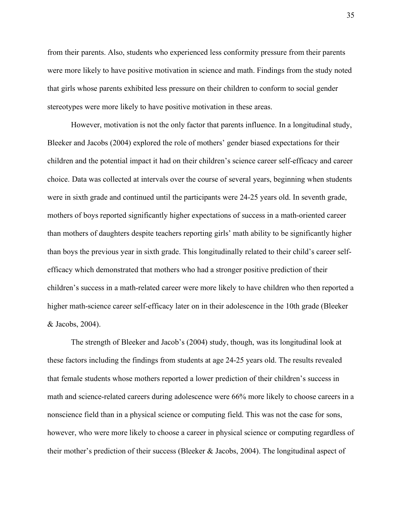from their parents. Also, students who experienced less conformity pressure from their parents were more likely to have positive motivation in science and math. Findings from the study noted that girls whose parents exhibited less pressure on their children to conform to social gender stereotypes were more likely to have positive motivation in these areas.

However, motivation is not the only factor that parents influence. In a longitudinal study, Bleeker and Jacobs (2004) explored the role of mothers' gender biased expectations for their children and the potential impact it had on their children's science career self-efficacy and career choice. Data was collected at intervals over the course of several years, beginning when students were in sixth grade and continued until the participants were 24-25 years old. In seventh grade, mothers of boys reported significantly higher expectations of success in a math-oriented career than mothers of daughters despite teachers reporting girls' math ability to be significantly higher than boys the previous year in sixth grade. This longitudinally related to their child's career selfefficacy which demonstrated that mothers who had a stronger positive prediction of their children's success in a math-related career were more likely to have children who then reported a higher math-science career self-efficacy later on in their adolescence in the 10th grade (Bleeker & Jacobs, 2004).

The strength of Bleeker and Jacob's (2004) study, though, was its longitudinal look at these factors including the findings from students at age 24-25 years old. The results revealed that female students whose mothers reported a lower prediction of their children's success in math and science-related careers during adolescence were 66% more likely to choose careers in a nonscience field than in a physical science or computing field. This was not the case for sons, however, who were more likely to choose a career in physical science or computing regardless of their mother's prediction of their success (Bleeker & Jacobs, 2004). The longitudinal aspect of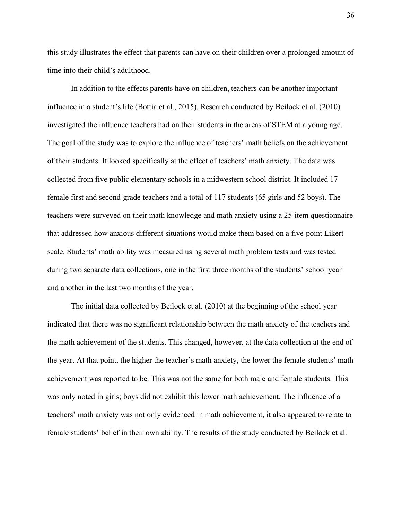this study illustrates the effect that parents can have on their children over a prolonged amount of time into their child's adulthood.

In addition to the effects parents have on children, teachers can be another important influence in a student's life (Bottia et al., 2015). Research conducted by Beilock et al. (2010) investigated the influence teachers had on their students in the areas of STEM at a young age. The goal of the study was to explore the influence of teachers' math beliefs on the achievement of their students. It looked specifically at the effect of teachers' math anxiety. The data was collected from five public elementary schools in a midwestern school district. It included 17 female first and second-grade teachers and a total of 117 students (65 girls and 52 boys). The teachers were surveyed on their math knowledge and math anxiety using a 25-item questionnaire that addressed how anxious different situations would make them based on a five-point Likert scale. Students' math ability was measured using several math problem tests and was tested during two separate data collections, one in the first three months of the students' school year and another in the last two months of the year.

The initial data collected by Beilock et al. (2010) at the beginning of the school year indicated that there was no significant relationship between the math anxiety of the teachers and the math achievement of the students. This changed, however, at the data collection at the end of the year. At that point, the higher the teacher's math anxiety, the lower the female students' math achievement was reported to be. This was not the same for both male and female students. This was only noted in girls; boys did not exhibit this lower math achievement. The influence of a teachers' math anxiety was not only evidenced in math achievement, it also appeared to relate to female students' belief in their own ability. The results of the study conducted by Beilock et al.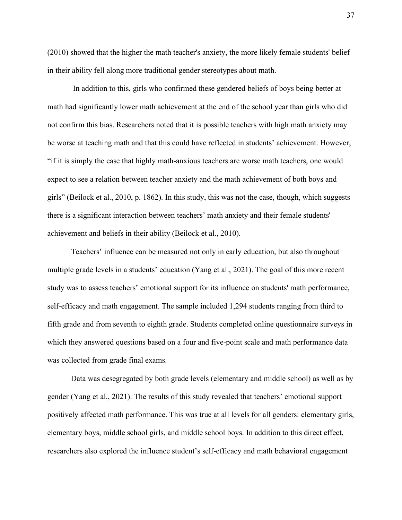(2010) showed that the higher the math teacher's anxiety, the more likely female students' belief in their ability fell along more traditional gender stereotypes about math.

In addition to this, girls who confirmed these gendered beliefs of boys being better at math had significantly lower math achievement at the end of the school year than girls who did not confirm this bias. Researchers noted that it is possible teachers with high math anxiety may be worse at teaching math and that this could have reflected in students' achievement. However, "if it is simply the case that highly math-anxious teachers are worse math teachers, one would expect to see a relation between teacher anxiety and the math achievement of both boys and girls" (Beilock et al., 2010, p. 1862). In this study, this was not the case, though, which suggests there is a significant interaction between teachers' math anxiety and their female students' achievement and beliefs in their ability (Beilock et al., 2010).

Teachers' influence can be measured not only in early education, but also throughout multiple grade levels in a students' education (Yang et al., 2021). The goal of this more recent study was to assess teachers' emotional support for its influence on students' math performance, self-efficacy and math engagement. The sample included 1,294 students ranging from third to fifth grade and from seventh to eighth grade. Students completed online questionnaire surveys in which they answered questions based on a four and five-point scale and math performance data was collected from grade final exams.

Data was desegregated by both grade levels (elementary and middle school) as well as by gender (Yang et al., 2021). The results of this study revealed that teachers' emotional support positively affected math performance. This was true at all levels for all genders: elementary girls, elementary boys, middle school girls, and middle school boys. In addition to this direct effect, researchers also explored the influence student's self-efficacy and math behavioral engagement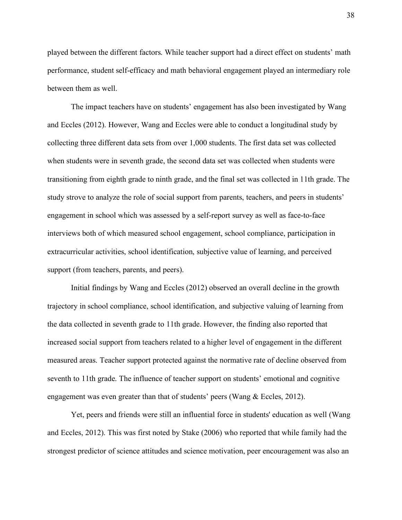played between the different factors. While teacher support had a direct effect on students' math performance, student self-efficacy and math behavioral engagement played an intermediary role between them as well.

The impact teachers have on students' engagement has also been investigated by Wang and Eccles (2012). However, Wang and Eccles were able to conduct a longitudinal study by collecting three different data sets from over 1,000 students. The first data set was collected when students were in seventh grade, the second data set was collected when students were transitioning from eighth grade to ninth grade, and the final set was collected in 11th grade. The study strove to analyze the role of social support from parents, teachers, and peers in students' engagement in school which was assessed by a self-report survey as well as face-to-face interviews both of which measured school engagement, school compliance, participation in extracurricular activities, school identification, subjective value of learning, and perceived support (from teachers, parents, and peers).

Initial findings by Wang and Eccles (2012) observed an overall decline in the growth trajectory in school compliance, school identification, and subjective valuing of learning from the data collected in seventh grade to 11th grade. However, the finding also reported that increased social support from teachers related to a higher level of engagement in the different measured areas. Teacher support protected against the normative rate of decline observed from seventh to 11th grade. The influence of teacher support on students' emotional and cognitive engagement was even greater than that of students' peers (Wang & Eccles, 2012).

Yet, peers and friends were still an influential force in students' education as well (Wang and Eccles, 2012). This was first noted by Stake (2006) who reported that while family had the strongest predictor of science attitudes and science motivation, peer encouragement was also an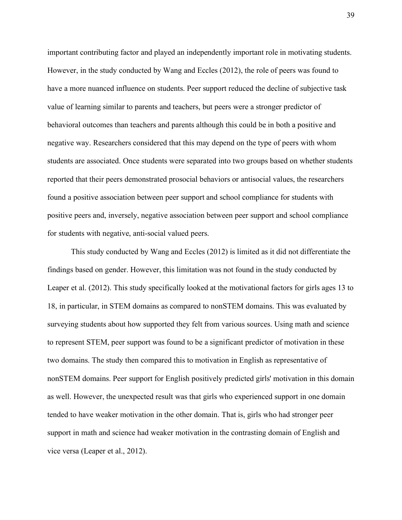important contributing factor and played an independently important role in motivating students. However, in the study conducted by Wang and Eccles (2012), the role of peers was found to have a more nuanced influence on students. Peer support reduced the decline of subjective task value of learning similar to parents and teachers, but peers were a stronger predictor of behavioral outcomes than teachers and parents although this could be in both a positive and negative way. Researchers considered that this may depend on the type of peers with whom students are associated. Once students were separated into two groups based on whether students reported that their peers demonstrated prosocial behaviors or antisocial values, the researchers found a positive association between peer support and school compliance for students with positive peers and, inversely, negative association between peer support and school compliance for students with negative, anti-social valued peers.

This study conducted by Wang and Eccles (2012) is limited as it did not differentiate the findings based on gender. However, this limitation was not found in the study conducted by Leaper et al. (2012). This study specifically looked at the motivational factors for girls ages 13 to 18, in particular, in STEM domains as compared to nonSTEM domains. This was evaluated by surveying students about how supported they felt from various sources. Using math and science to represent STEM, peer support was found to be a significant predictor of motivation in these two domains. The study then compared this to motivation in English as representative of nonSTEM domains. Peer support for English positively predicted girls' motivation in this domain as well. However, the unexpected result was that girls who experienced support in one domain tended to have weaker motivation in the other domain. That is, girls who had stronger peer support in math and science had weaker motivation in the contrasting domain of English and vice versa (Leaper et al., 2012).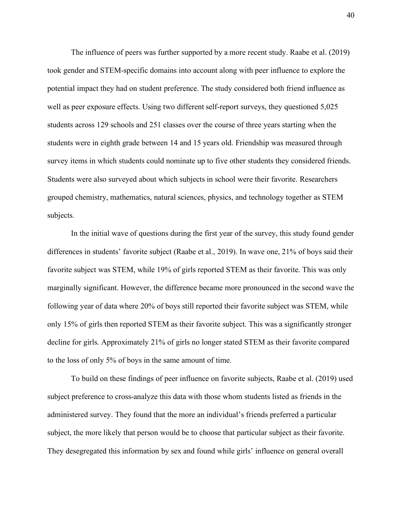The influence of peers was further supported by a more recent study. Raabe et al. (2019) took gender and STEM-specific domains into account along with peer influence to explore the potential impact they had on student preference. The study considered both friend influence as well as peer exposure effects. Using two different self-report surveys, they questioned 5,025 students across 129 schools and 251 classes over the course of three years starting when the students were in eighth grade between 14 and 15 years old. Friendship was measured through survey items in which students could nominate up to five other students they considered friends. Students were also surveyed about which subjects in school were their favorite. Researchers grouped chemistry, mathematics, natural sciences, physics, and technology together as STEM subjects.

In the initial wave of questions during the first year of the survey, this study found gender differences in students' favorite subject (Raabe et al., 2019). In wave one, 21% of boys said their favorite subject was STEM, while 19% of girls reported STEM as their favorite. This was only marginally significant. However, the difference became more pronounced in the second wave the following year of data where 20% of boys still reported their favorite subject was STEM, while only 15% of girls then reported STEM as their favorite subject. This was a significantly stronger decline for girls. Approximately 21% of girls no longer stated STEM as their favorite compared to the loss of only 5% of boys in the same amount of time.

To build on these findings of peer influence on favorite subjects, Raabe et al. (2019) used subject preference to cross-analyze this data with those whom students listed as friends in the administered survey. They found that the more an individual's friends preferred a particular subject, the more likely that person would be to choose that particular subject as their favorite. They desegregated this information by sex and found while girls' influence on general overall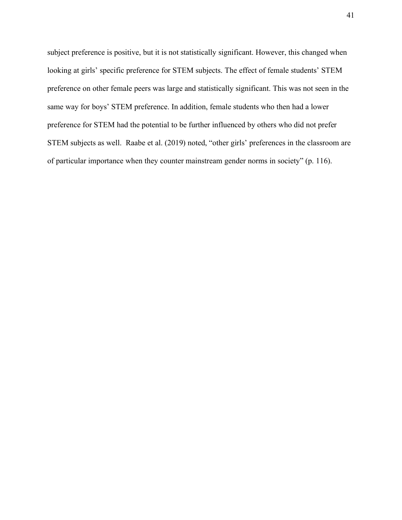subject preference is positive, but it is not statistically significant. However, this changed when looking at girls' specific preference for STEM subjects. The effect of female students' STEM preference on other female peers was large and statistically significant. This was not seen in the same way for boys' STEM preference. In addition, female students who then had a lower preference for STEM had the potential to be further influenced by others who did not prefer STEM subjects as well. Raabe et al. (2019) noted, "other girls' preferences in the classroom are of particular importance when they counter mainstream gender norms in society" (p. 116).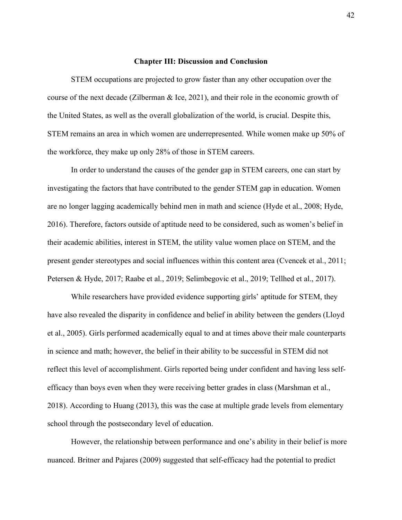#### **Chapter III: Discussion and Conclusion**

STEM occupations are projected to grow faster than any other occupation over the course of the next decade (Zilberman & Ice, 2021), and their role in the economic growth of the United States, as well as the overall globalization of the world, is crucial. Despite this, STEM remains an area in which women are underrepresented. While women make up 50% of the workforce, they make up only 28% of those in STEM careers.

In order to understand the causes of the gender gap in STEM careers, one can start by investigating the factors that have contributed to the gender STEM gap in education. Women are no longer lagging academically behind men in math and science (Hyde et al., 2008; Hyde, 2016). Therefore, factors outside of aptitude need to be considered, such as women's belief in their academic abilities, interest in STEM, the utility value women place on STEM, and the present gender stereotypes and social influences within this content area (Cvencek et al., 2011; Petersen & Hyde, 2017; Raabe et al., 2019; Selimbegovic et al., 2019; Tellhed et al., 2017).

While researchers have provided evidence supporting girls' aptitude for STEM, they have also revealed the disparity in confidence and belief in ability between the genders (Lloyd et al., 2005). Girls performed academically equal to and at times above their male counterparts in science and math; however, the belief in their ability to be successful in STEM did not reflect this level of accomplishment. Girls reported being under confident and having less selfefficacy than boys even when they were receiving better grades in class (Marshman et al., 2018). According to Huang (2013), this was the case at multiple grade levels from elementary school through the postsecondary level of education.

However, the relationship between performance and one's ability in their belief is more nuanced. Britner and Pajares (2009) suggested that self-efficacy had the potential to predict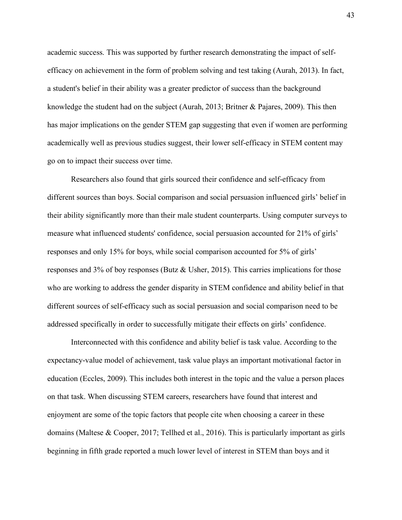academic success. This was supported by further research demonstrating the impact of selfefficacy on achievement in the form of problem solving and test taking (Aurah, 2013). In fact, a student's belief in their ability was a greater predictor of success than the background knowledge the student had on the subject (Aurah, 2013; Britner & Pajares, 2009). This then has major implications on the gender STEM gap suggesting that even if women are performing academically well as previous studies suggest, their lower self-efficacy in STEM content may go on to impact their success over time.

Researchers also found that girls sourced their confidence and self-efficacy from different sources than boys. Social comparison and social persuasion influenced girls' belief in their ability significantly more than their male student counterparts. Using computer surveys to measure what influenced students' confidence, social persuasion accounted for 21% of girls' responses and only 15% for boys, while social comparison accounted for 5% of girls' responses and 3% of boy responses (Butz & Usher, 2015). This carries implications for those who are working to address the gender disparity in STEM confidence and ability belief in that different sources of self-efficacy such as social persuasion and social comparison need to be addressed specifically in order to successfully mitigate their effects on girls' confidence.

Interconnected with this confidence and ability belief is task value. According to the expectancy-value model of achievement, task value plays an important motivational factor in education (Eccles, 2009). This includes both interest in the topic and the value a person places on that task. When discussing STEM careers, researchers have found that interest and enjoyment are some of the topic factors that people cite when choosing a career in these domains (Maltese & Cooper, 2017; Tellhed et al., 2016). This is particularly important as girls beginning in fifth grade reported a much lower level of interest in STEM than boys and it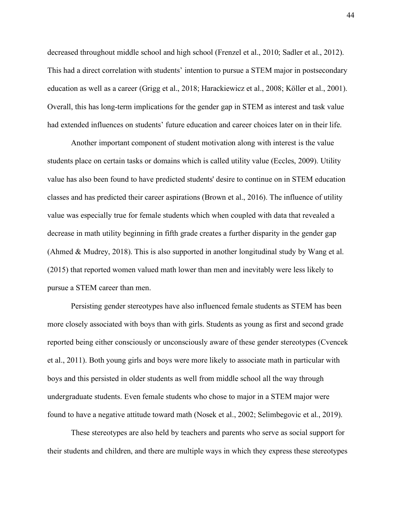decreased throughout middle school and high school (Frenzel et al., 2010; Sadler et al., 2012). This had a direct correlation with students' intention to pursue a STEM major in postsecondary education as well as a career (Grigg et al., 2018; Harackiewicz et al., 2008; Köller et al., 2001). Overall, this has long-term implications for the gender gap in STEM as interest and task value had extended influences on students' future education and career choices later on in their life.

Another important component of student motivation along with interest is the value students place on certain tasks or domains which is called utility value (Eccles, 2009). Utility value has also been found to have predicted students' desire to continue on in STEM education classes and has predicted their career aspirations (Brown et al., 2016). The influence of utility value was especially true for female students which when coupled with data that revealed a decrease in math utility beginning in fifth grade creates a further disparity in the gender gap (Ahmed & Mudrey, 2018). This is also supported in another longitudinal study by Wang et al. (2015) that reported women valued math lower than men and inevitably were less likely to pursue a STEM career than men.

Persisting gender stereotypes have also influenced female students as STEM has been more closely associated with boys than with girls. Students as young as first and second grade reported being either consciously or unconsciously aware of these gender stereotypes (Cvencek et al., 2011). Both young girls and boys were more likely to associate math in particular with boys and this persisted in older students as well from middle school all the way through undergraduate students. Even female students who chose to major in a STEM major were found to have a negative attitude toward math (Nosek et al., 2002; Selimbegovic et al., 2019).

These stereotypes are also held by teachers and parents who serve as social support for their students and children, and there are multiple ways in which they express these stereotypes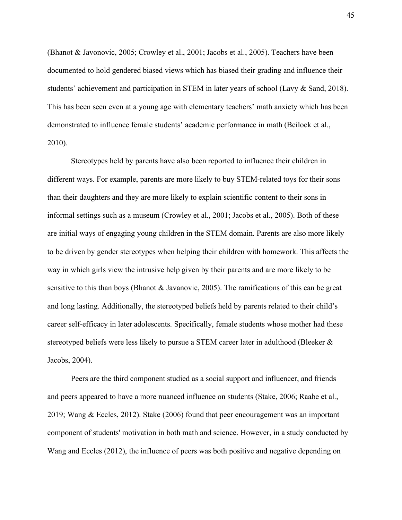(Bhanot & Javonovic, 2005; Crowley et al., 2001; Jacobs et al., 2005). Teachers have been documented to hold gendered biased views which has biased their grading and influence their students' achievement and participation in STEM in later years of school (Lavy & Sand, 2018). This has been seen even at a young age with elementary teachers' math anxiety which has been demonstrated to influence female students' academic performance in math (Beilock et al., 2010).

Stereotypes held by parents have also been reported to influence their children in different ways. For example, parents are more likely to buy STEM-related toys for their sons than their daughters and they are more likely to explain scientific content to their sons in informal settings such as a museum (Crowley et al., 2001; Jacobs et al., 2005). Both of these are initial ways of engaging young children in the STEM domain. Parents are also more likely to be driven by gender stereotypes when helping their children with homework. This affects the way in which girls view the intrusive help given by their parents and are more likely to be sensitive to this than boys (Bhanot & Javanovic, 2005). The ramifications of this can be great and long lasting. Additionally, the stereotyped beliefs held by parents related to their child's career self-efficacy in later adolescents. Specifically, female students whose mother had these stereotyped beliefs were less likely to pursue a STEM career later in adulthood (Bleeker & Jacobs, 2004).

Peers are the third component studied as a social support and influencer, and friends and peers appeared to have a more nuanced influence on students (Stake, 2006; Raabe et al., 2019; Wang & Eccles, 2012). Stake (2006) found that peer encouragement was an important component of students' motivation in both math and science. However, in a study conducted by Wang and Eccles (2012), the influence of peers was both positive and negative depending on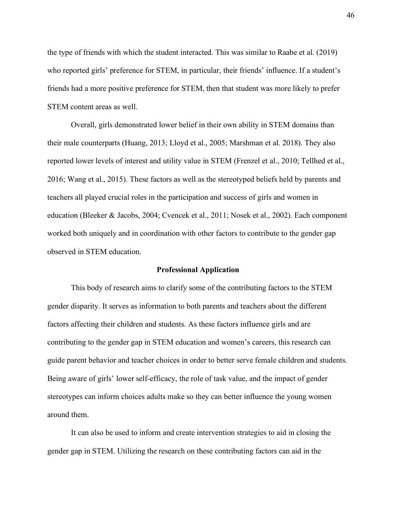the type of friends with which the student interacted. This was similar to Raabe et al. (2019) who reported girls' preference for STEM, in particular, their friends' influence. If a student's friends had a more positive preference for STEM, then that student was more likely to prefer STEM content areas as well.

Overall, girls demonstrated lower belief in their own ability in STEM domains than their male counterparts (Huang, 2013; Lloyd et al., 2005; Marshman et al. 2018). They also reported lower levels of interest and utility value in STEM (Frenzel et al., 2010; Tellhed et al., 2016; Wang et al., 2015). These factors as well as the stereotyped beliefs held by parents and teachers all played crucial roles in the participation and success of girls and women in education (Bleeker & Jacobs, 2004; Cvencek et al., 2011; Nosek et al., 2002). Each component worked both uniquely and in coordination with other factors to contribute to the gender gap observed in STEM education.

#### **Professional Application**

This body of research aims to clarify some of the contributing factors to the STEM gender disparity. It serves as information to both parents and teachers about the different factors affecting their children and students. As these factors influence girls and are contributing to the gender gap in STEM education and women's careers, this research can guide parent behavior and teacher choices in order to better serve female children and students. Being aware of girls' lower self-efficacy, the role of task value, and the impact of gender stereotypes can inform choices adults make so they can better influence the young women around them.

It can also be used to inform and create intervention strategies to aid in closing the gender gap in STEM. Utilizing the research on these contributing factors can aid in the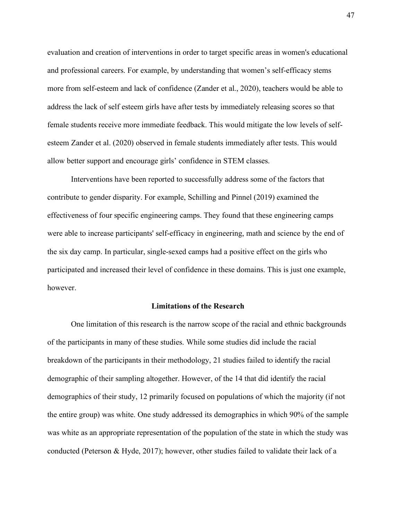evaluation and creation of interventions in order to target specific areas in women's educational and professional careers. For example, by understanding that women's self-efficacy stems more from self-esteem and lack of confidence (Zander et al., 2020), teachers would be able to address the lack of self esteem girls have after tests by immediately releasing scores so that female students receive more immediate feedback. This would mitigate the low levels of selfesteem Zander et al. (2020) observed in female students immediately after tests. This would allow better support and encourage girls' confidence in STEM classes.

Interventions have been reported to successfully address some of the factors that contribute to gender disparity. For example, Schilling and Pinnel (2019) examined the effectiveness of four specific engineering camps. They found that these engineering camps were able to increase participants' self-efficacy in engineering, math and science by the end of the six day camp. In particular, single-sexed camps had a positive effect on the girls who participated and increased their level of confidence in these domains. This is just one example, however.

#### **Limitations of the Research**

One limitation of this research is the narrow scope of the racial and ethnic backgrounds of the participants in many of these studies. While some studies did include the racial breakdown of the participants in their methodology, 21 studies failed to identify the racial demographic of their sampling altogether. However, of the 14 that did identify the racial demographics of their study, 12 primarily focused on populations of which the majority (if not the entire group) was white. One study addressed its demographics in which 90% of the sample was white as an appropriate representation of the population of the state in which the study was conducted (Peterson & Hyde, 2017); however, other studies failed to validate their lack of a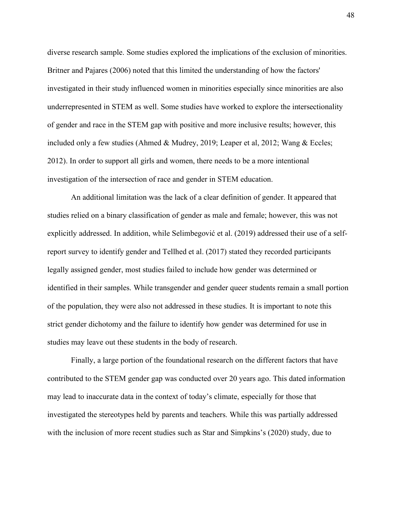diverse research sample. Some studies explored the implications of the exclusion of minorities. Britner and Pajares (2006) noted that this limited the understanding of how the factors' investigated in their study influenced women in minorities especially since minorities are also underrepresented in STEM as well. Some studies have worked to explore the intersectionality of gender and race in the STEM gap with positive and more inclusive results; however, this included only a few studies (Ahmed & Mudrey, 2019; Leaper et al, 2012; Wang & Eccles; 2012). In order to support all girls and women, there needs to be a more intentional investigation of the intersection of race and gender in STEM education.

An additional limitation was the lack of a clear definition of gender. It appeared that studies relied on a binary classification of gender as male and female; however, this was not explicitly addressed. In addition, while Selimbegović et al. (2019) addressed their use of a selfreport survey to identify gender and Tellhed et al. (2017) stated they recorded participants legally assigned gender, most studies failed to include how gender was determined or identified in their samples. While transgender and gender queer students remain a small portion of the population, they were also not addressed in these studies. It is important to note this strict gender dichotomy and the failure to identify how gender was determined for use in studies may leave out these students in the body of research.

Finally, a large portion of the foundational research on the different factors that have contributed to the STEM gender gap was conducted over 20 years ago. This dated information may lead to inaccurate data in the context of today's climate, especially for those that investigated the stereotypes held by parents and teachers. While this was partially addressed with the inclusion of more recent studies such as Star and Simpkins's (2020) study, due to

48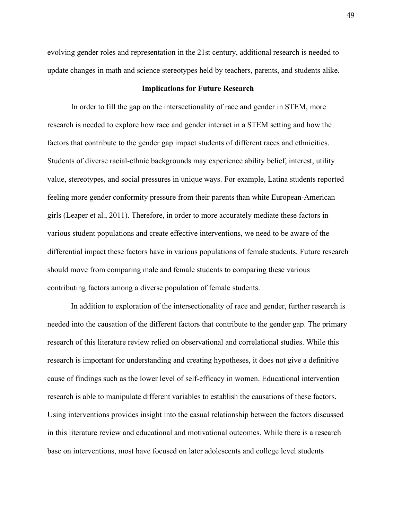evolving gender roles and representation in the 21st century, additional research is needed to update changes in math and science stereotypes held by teachers, parents, and students alike.

#### **Implications for Future Research**

In order to fill the gap on the intersectionality of race and gender in STEM, more research is needed to explore how race and gender interact in a STEM setting and how the factors that contribute to the gender gap impact students of different races and ethnicities. Students of diverse racial-ethnic backgrounds may experience ability belief, interest, utility value, stereotypes, and social pressures in unique ways. For example, Latina students reported feeling more gender conformity pressure from their parents than white European-American girls (Leaper et al., 2011). Therefore, in order to more accurately mediate these factors in various student populations and create effective interventions, we need to be aware of the differential impact these factors have in various populations of female students. Future research should move from comparing male and female students to comparing these various contributing factors among a diverse population of female students.

In addition to exploration of the intersectionality of race and gender, further research is needed into the causation of the different factors that contribute to the gender gap. The primary research of this literature review relied on observational and correlational studies. While this research is important for understanding and creating hypotheses, it does not give a definitive cause of findings such as the lower level of self-efficacy in women. Educational intervention research is able to manipulate different variables to establish the causations of these factors. Using interventions provides insight into the casual relationship between the factors discussed in this literature review and educational and motivational outcomes. While there is a research base on interventions, most have focused on later adolescents and college level students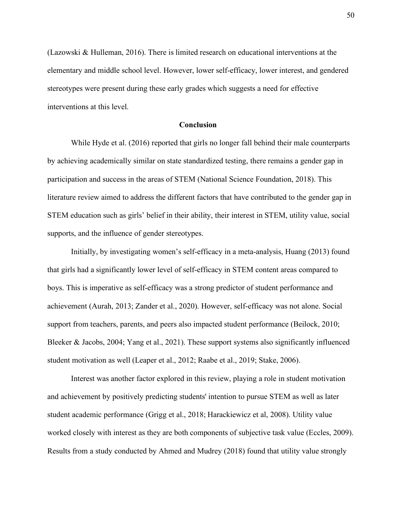(Lazowski & Hulleman, 2016). There is limited research on educational interventions at the elementary and middle school level. However, lower self-efficacy, lower interest, and gendered stereotypes were present during these early grades which suggests a need for effective interventions at this level.

#### **Conclusion**

While Hyde et al. (2016) reported that girls no longer fall behind their male counterparts by achieving academically similar on state standardized testing, there remains a gender gap in participation and success in the areas of STEM (National Science Foundation, 2018). This literature review aimed to address the different factors that have contributed to the gender gap in STEM education such as girls' belief in their ability, their interest in STEM, utility value, social supports, and the influence of gender stereotypes.

Initially, by investigating women's self-efficacy in a meta-analysis, Huang (2013) found that girls had a significantly lower level of self-efficacy in STEM content areas compared to boys. This is imperative as self-efficacy was a strong predictor of student performance and achievement (Aurah, 2013; Zander et al., 2020). However, self-efficacy was not alone. Social support from teachers, parents, and peers also impacted student performance (Beilock, 2010; Bleeker & Jacobs, 2004; Yang et al., 2021). These support systems also significantly influenced student motivation as well (Leaper et al., 2012; Raabe et al., 2019; Stake, 2006).

Interest was another factor explored in this review, playing a role in student motivation and achievement by positively predicting students' intention to pursue STEM as well as later student academic performance (Grigg et al., 2018; Harackiewicz et al, 2008). Utility value worked closely with interest as they are both components of subjective task value (Eccles, 2009). Results from a study conducted by Ahmed and Mudrey (2018) found that utility value strongly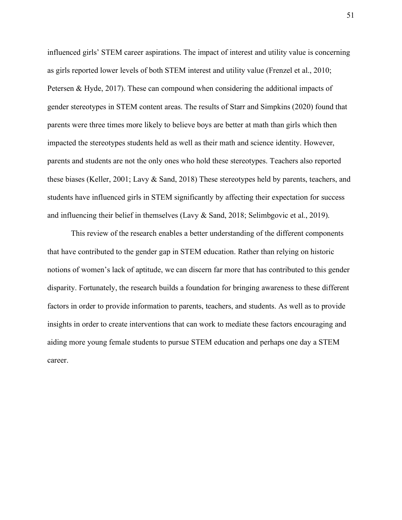influenced girls' STEM career aspirations. The impact of interest and utility value is concerning as girls reported lower levels of both STEM interest and utility value (Frenzel et al., 2010; Petersen & Hyde, 2017). These can compound when considering the additional impacts of gender stereotypes in STEM content areas. The results of Starr and Simpkins (2020) found that parents were three times more likely to believe boys are better at math than girls which then impacted the stereotypes students held as well as their math and science identity. However, parents and students are not the only ones who hold these stereotypes. Teachers also reported these biases (Keller, 2001; Lavy & Sand, 2018) These stereotypes held by parents, teachers, and students have influenced girls in STEM significantly by affecting their expectation for success and influencing their belief in themselves (Lavy & Sand, 2018; Selimbgovic et al., 2019).

This review of the research enables a better understanding of the different components that have contributed to the gender gap in STEM education. Rather than relying on historic notions of women's lack of aptitude, we can discern far more that has contributed to this gender disparity. Fortunately, the research builds a foundation for bringing awareness to these different factors in order to provide information to parents, teachers, and students. As well as to provide insights in order to create interventions that can work to mediate these factors encouraging and aiding more young female students to pursue STEM education and perhaps one day a STEM career.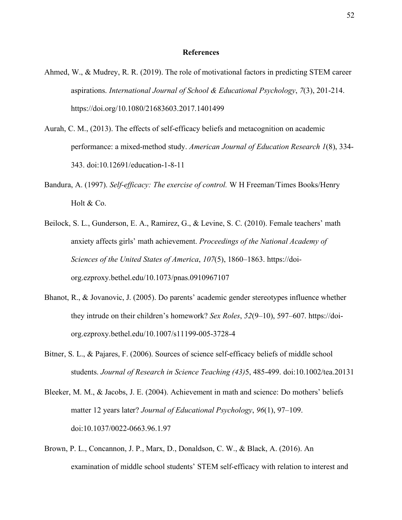#### **References**

- Ahmed, W., & Mudrey, R. R. (2019). The role of motivational factors in predicting STEM career aspirations. *International Journal of School & Educational Psychology*, *7*(3), 201-214. https://doi.org/10.1080/21683603.2017.1401499
- Aurah, C. M., (2013). The effects of self-efficacy beliefs and metacognition on academic performance: a mixed-method study. *American Journal of Education Research 1*(8), 334- 343. doi:10.12691/education-1-8-11
- Bandura, A. (1997). *Self-efficacy: The exercise of control.* W H Freeman/Times Books/Henry Holt & Co.
- Beilock, S. L., Gunderson, E. A., Ramirez, G., & Levine, S. C. (2010). Female teachers' math anxiety affects girls' math achievement. *Proceedings of the National Academy of Sciences of the United States of America*, *107*(5), 1860–1863. https://doiorg.ezproxy.bethel.edu/10.1073/pnas.0910967107
- Bhanot, R., & Jovanovic, J. (2005). Do parents' academic gender stereotypes influence whether they intrude on their children's homework? *Sex Roles*, *52*(9–10), 597–607. https://doiorg.ezproxy.bethel.edu/10.1007/s11199-005-3728-4
- Bitner, S. L., & Pajares, F. (2006). Sources of science self-efficacy beliefs of middle school students. *Journal of Research in Science Teaching (43)*5, 485-499. doi:10.1002/tea.20131
- Bleeker, M. M., & Jacobs, J. E. (2004). Achievement in math and science: Do mothers' beliefs matter 12 years later? *Journal of Educational Psychology*, *96*(1), 97–109. doi:10.1037/0022-0663.96.1.97
- Brown, P. L., Concannon, J. P., Marx, D., Donaldson, C. W., & Black, A. (2016). An examination of middle school students' STEM self-efficacy with relation to interest and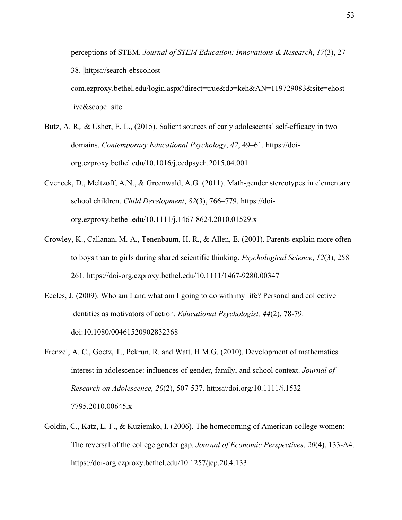perceptions of STEM. *Journal of STEM Education: Innovations & Research*, *17*(3), 27– 38. https://search-ebscohostcom.ezproxy.bethel.edu/login.aspx?direct=true&db=keh&AN=119729083&site=ehostlive&scope=site.

- Butz, A. R,. & Usher, E. L., (2015). Salient sources of early adolescents' self-efficacy in two domains. *Contemporary Educational Psychology*, *42*, 49–61. https://doiorg.ezproxy.bethel.edu/10.1016/j.cedpsych.2015.04.001
- Cvencek, D., Meltzoff, A.N., & Greenwald, A.G. (2011). Math-gender stereotypes in elementary school children. *Child Development*, *82*(3), 766–779. https://doiorg.ezproxy.bethel.edu/10.1111/j.1467-8624.2010.01529.x
- Crowley, K., Callanan, M. A., Tenenbaum, H. R., & Allen, E. (2001). Parents explain more often to boys than to girls during shared scientific thinking. *Psychological Science*, *12*(3), 258– 261. https://doi-org.ezproxy.bethel.edu/10.1111/1467-9280.00347
- Eccles, J. (2009). Who am I and what am I going to do with my life? Personal and collective identities as motivators of action. *Educational Psychologist, 44*(2), 78-79. doi:10.1080/00461520902832368
- Frenzel, A. C., Goetz, T., Pekrun, R. and Watt, H.M.G. (2010). Development of mathematics interest in adolescence: influences of gender, family, and school context. *Journal of Research on Adolescence, 20*(2), 507-537. https://doi.org/10.1111/j.1532- 7795.2010.00645.x
- Goldin, C., Katz, L. F., & Kuziemko, I. (2006). The homecoming of American college women: The reversal of the college gender gap. *Journal of Economic Perspectives*, *20*(4), 133-A4. https://doi-org.ezproxy.bethel.edu/10.1257/jep.20.4.133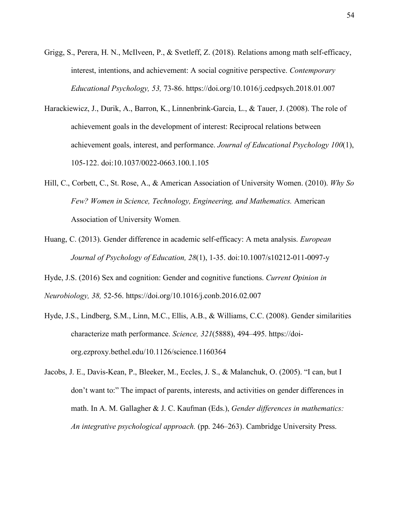- Grigg, S., Perera, H. N., McIlveen, P., & Svetleff, Z. (2018). Relations among math self-efficacy, interest, intentions, and achievement: A social cognitive perspective. *Contemporary Educational Psychology, 53,* 73-86. https://doi.org/10.1016/j.cedpsych.2018.01.007
- Harackiewicz, J., Durik, A., Barron, K., Linnenbrink-Garcia, L., & Tauer, J. (2008). The role of achievement goals in the development of interest: Reciprocal relations between achievement goals, interest, and performance. *Journal of Educational Psychology 100*(1), 105-122. doi:10.1037/0022-0663.100.1.105
- Hill, C., Corbett, C., St. Rose, A., & American Association of University Women. (2010). *Why So Few? Women in Science, Technology, Engineering, and Mathematics.* American Association of University Women.
- Huang, C. (2013). Gender difference in academic self-efficacy: A meta analysis. *European Journal of Psychology of Education, 28*(1), 1-35. doi:10.1007/s10212-011-0097-y
- Hyde, J.S. (2016) Sex and cognition: Gender and cognitive functions. *Current Opinion in Neurobiology, 38,* 52-56. https://doi.org/10.1016/j.conb.2016.02.007
- Hyde, J.S., Lindberg, S.M., Linn, M.C., Ellis, A.B., & Williams, C.C. (2008). Gender similarities characterize math performance. *Science, 321*(5888), 494–495. https://doiorg.ezproxy.bethel.edu/10.1126/science.1160364
- Jacobs, J. E., Davis-Kean, P., Bleeker, M., Eccles, J. S., & Malanchuk, O. (2005). "I can, but I don't want to:" The impact of parents, interests, and activities on gender differences in math. In A. M. Gallagher & J. C. Kaufman (Eds.), *Gender differences in mathematics: An integrative psychological approach.* (pp. 246–263). Cambridge University Press.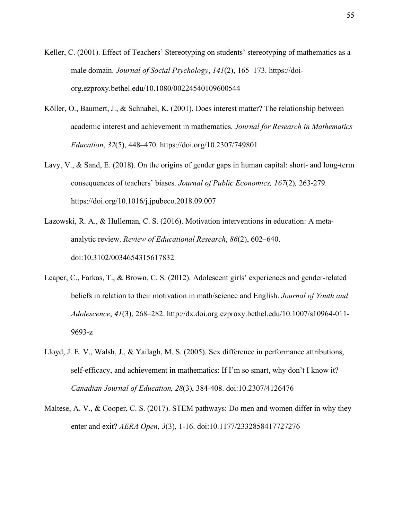- Keller, C. (2001). Effect of Teachers' Stereotyping on students' stereotyping of mathematics as a male domain. *Journal of Social Psychology*, *141*(2), 165–173. https://doiorg.ezproxy.bethel.edu/10.1080/00224540109600544
- Köller, O., Baumert, J., & Schnabel, K. (2001). Does interest matter? The relationship between academic interest and achievement in mathematics. *Journal for Research in Mathematics Education*, *32*(5), 448–470. https://doi.org/10.2307/749801
- Lavy, V., & Sand, E. (2018). On the origins of gender gaps in human capital: short- and long-term consequences of teachers' biases. *Journal of Public Economics, 167*(2)*,* 263-279. https://doi.org/10.1016/j.jpubeco.2018.09.007
- Lazowski, R. A., & Hulleman, C. S. (2016). Motivation interventions in education: A metaanalytic review. *Review of Educational Research*, *86*(2), 602–640. doi:10.3102/0034654315617832
- Leaper, C., Farkas, T., & Brown, C. S. (2012). Adolescent girls' experiences and gender-related beliefs in relation to their motivation in math/science and English. *Journal of Youth and Adolescence*, *41*(3), 268–282. http://dx.doi.org.ezproxy.bethel.edu/10.1007/s10964-011- 9693-z
- Lloyd, J. E. V., Walsh, J., & Yailagh, M. S. (2005). Sex difference in performance attributions, self-efficacy, and achievement in mathematics: If I'm so smart, why don't I know it? *Canadian Journal of Education, 28*(3), 384-408. doi:10.2307/4126476
- Maltese, A. V., & Cooper, C. S. (2017). STEM pathways: Do men and women differ in why they enter and exit? *AERA Open*, *3*(3), 1-16. doi:10.1177/2332858417727276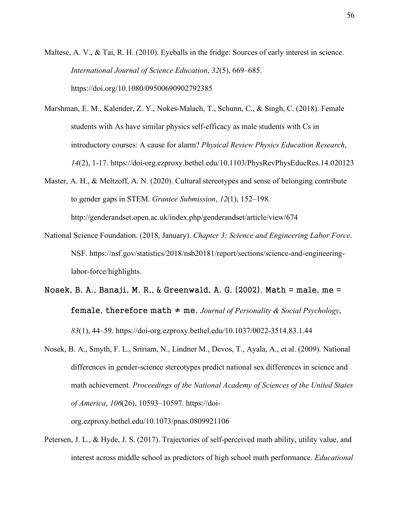Maltese, A. V., & Tai, R. H. (2010). Eyeballs in the fridge: Sources of early interest in science. *International Journal of Science Education*, *32*(5), 669–685. https://doi.org/10.1080/09500690902792385

- Marshman, E. M., Kalender, Z. Y., Nokes-Malach, T., Schunn, C., & Singh, C. (2018). Female students with As have similar physics self-efficacy as male students with Cs in introductory courses: A cause for alarm? *Physical Review Physics Education Research*, *14*(2), 1-17. https://doi-org.ezproxy.bethel.edu/10.1103/PhysRevPhysEducRes.14.020123
- Master, A. H., & Meltzoff, A. N. (2020). Cultural stereotypes and sense of belonging contribute to gender gaps in STEM. *Grantee Submission*, *12*(1), 152–198. http://genderandset.open.ac.uk/index.php/genderandset/article/view/674
- National Science Foundation. (2018, January). *Chapter 3: Science and Engineering Labor Force*. NSF. https://nsf.gov/statistics/2018/nsb20181/report/sections/science-and-engineeringlabor-force/highlights.
- Nosek, B. A., Banaji, M. R., & Greenwald, A. G. (2002). Math  $=$  male, me  $=$ female, therefore math ≠ me. *Journal of Personality & Social Psychology*, *83*(1), 44–59. https://doi-org.ezproxy.bethel.edu/10.1037/0022-3514.83.1.44
- Nosek, B. A., Smyth, F. L., Sririam, N., Lindner M., Devos, T., Ayala, A., et al. (2009). National differences in gender-science stereotypes predict national sex differences in science and math achievement. *Proceedings of the National Academy of Sciences of the United States of America*, *106*(26), 10593–10597. https://doi-

org.ezproxy.bethel.edu/10.1073/pnas.0809921106

Petersen, J. L., & Hyde, J. S. (2017). Trajectories of self-perceived math ability, utility value, and interest across middle school as predictors of high school math performance. *Educational*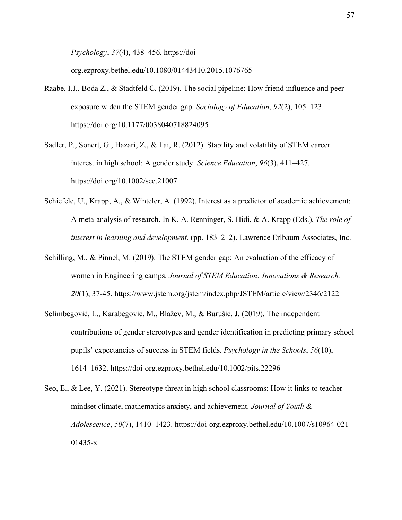*Psychology*, *37*(4), 438–456. https://doi-

org.ezproxy.bethel.edu/10.1080/01443410.2015.1076765

- Raabe, I.J., Boda Z., & Stadtfeld C. (2019). The social pipeline: How friend influence and peer exposure widen the STEM gender gap. *Sociology of Education*, *92*(2), 105–123. https://doi.org/10.1177/0038040718824095
- Sadler, P., Sonert, G., Hazari, Z., & Tai, R. (2012). Stability and volatility of STEM career interest in high school: A gender study. *Science Education*, *96*(3), 411–427. https://doi.org/10.1002/sce.21007
- Schiefele, U., Krapp, A., & Winteler, A. (1992). Interest as a predictor of academic achievement: A meta-analysis of research. In K. A. Renninger, S. Hidi, & A. Krapp (Eds.), *The role of interest in learning and development.* (pp. 183–212). Lawrence Erlbaum Associates, Inc.
- Schilling, M., & Pinnel, M. (2019). The STEM gender gap: An evaluation of the efficacy of women in Engineering camps. *Journal of STEM Education: Innovations & Research, 20*(1), 37-45. https://www.jstem.org/jstem/index.php/JSTEM/article/view/2346/2122
- Selimbegović, L., Karabegović, M., Blažev, M., & Burušić, J. (2019). The independent contributions of gender stereotypes and gender identification in predicting primary school pupils' expectancies of success in STEM fields. *Psychology in the Schools*, *56*(10), 1614–1632. https://doi-org.ezproxy.bethel.edu/10.1002/pits.22296
- Seo, E., & Lee, Y. (2021). Stereotype threat in high school classrooms: How it links to teacher mindset climate, mathematics anxiety, and achievement. *Journal of Youth & Adolescence*, *50*(7), 1410–1423. https://doi-org.ezproxy.bethel.edu/10.1007/s10964-021- 01435-x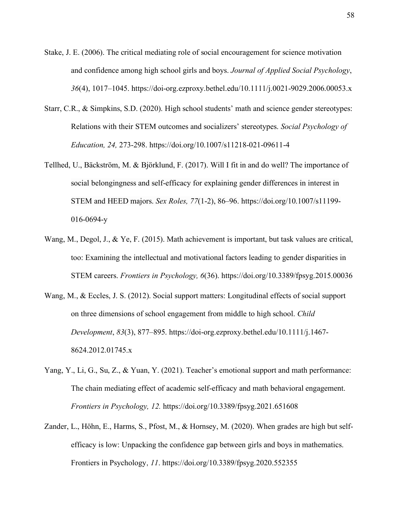- Stake, J. E. (2006). The critical mediating role of social encouragement for science motivation and confidence among high school girls and boys. *Journal of Applied Social Psychology*, *36*(4), 1017–1045. https://doi-org.ezproxy.bethel.edu/10.1111/j.0021-9029.2006.00053.x
- Starr, C.R., & Simpkins, S.D. (2020). High school students' math and science gender stereotypes: Relations with their STEM outcomes and socializers' stereotypes. *Social Psychology of Education, 24,* 273-298. https://doi.org/10.1007/s11218-021-09611-4
- Tellhed, U., Bäckström, M. & Björklund, F. (2017). Will I fit in and do well? The importance of social belongingness and self-efficacy for explaining gender differences in interest in STEM and HEED majors. *Sex Roles, 77*(1-2), 86–96. https://doi.org/10.1007/s11199- 016-0694-y
- Wang, M., Degol, J., & Ye, F. (2015). Math achievement is important, but task values are critical, too: Examining the intellectual and motivational factors leading to gender disparities in STEM careers. *Frontiers in Psychology, 6*(36). https://doi.org/10.3389/fpsyg.2015.00036
- Wang, M., & Eccles, J. S. (2012). Social support matters: Longitudinal effects of social support on three dimensions of school engagement from middle to high school. *Child Development*, *83*(3), 877–895. https://doi-org.ezproxy.bethel.edu/10.1111/j.1467- 8624.2012.01745.x
- Yang, Y., Li, G., Su, Z., & Yuan, Y. (2021). Teacher's emotional support and math performance: The chain mediating effect of academic self-efficacy and math behavioral engagement. *Frontiers in Psychology, 12.* https://doi.org/10.3389/fpsyg.2021.651608
- Zander, L., Höhn, E., Harms, S., Pfost, M., & Hornsey, M. (2020). When grades are high but selfefficacy is low: Unpacking the confidence gap between girls and boys in mathematics. Frontiers in Psychology, *11*. https://doi.org/10.3389/fpsyg.2020.552355